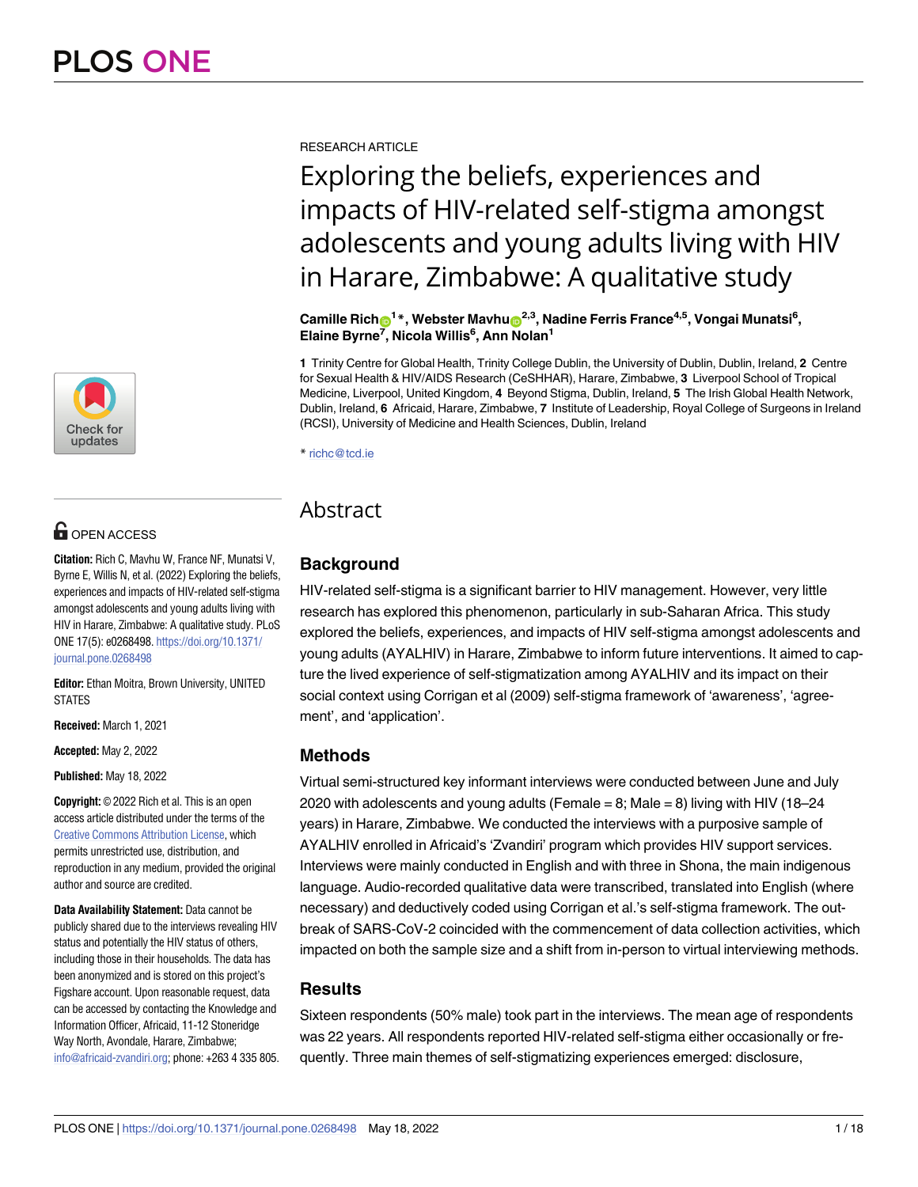

# **O** OPEN ACCESS

**Citation:** Rich C, Mavhu W, France NF, Munatsi V, Byrne E, Willis N, et al. (2022) Exploring the beliefs, experiences and impacts of HIV-related self-stigma amongst adolescents and young adults living with HIV in Harare, Zimbabwe: A qualitative study. PLoS ONE 17(5): e0268498. [https://doi.org/10.1371/](https://doi.org/10.1371/journal.pone.0268498) [journal.pone.0268498](https://doi.org/10.1371/journal.pone.0268498)

**Editor:** Ethan Moitra, Brown University, UNITED STATES

**Received:** March 1, 2021

**Accepted:** May 2, 2022

**Published:** May 18, 2022

**Copyright:** © 2022 Rich et al. This is an open access article distributed under the terms of the Creative Commons [Attribution](http://creativecommons.org/licenses/by/4.0/) License, which permits unrestricted use, distribution, and reproduction in any medium, provided the original author and source are credited.

**Data Availability Statement:** Data cannot be publicly shared due to the interviews revealing HIV status and potentially the HIV status of others, including those in their households. The data has been anonymized and is stored on this project's Figshare account. Upon reasonable request, data can be accessed by contacting the Knowledge and Information Officer, Africaid, 11-12 Stoneridge Way North, Avondale, Harare, Zimbabwe; [info@africaid-zvandiri.org;](mailto:info@africaid-zvandiri.org) phone: +263 4 335 805. RESEARCH ARTICLE

# Exploring the beliefs, experiences and impacts of HIV-related self-stigma amongst adolescents and young adults living with HIV in Harare, Zimbabwe: A qualitative study

 $\mathbf{C}$ amille  $\mathbf{Rich}^{-1}$ \*, Webster Mavhu $\mathbf{C}^{2,3}$ , Nadine Ferris France<sup>4,5</sup>, Vongai Munatsi<sup>6</sup>, **Elaine Byrne7 , Nicola Willis6 , Ann Nolan1**

**1** Trinity Centre for Global Health, Trinity College Dublin, the University of Dublin, Dublin, Ireland, **2** Centre for Sexual Health & HIV/AIDS Research (CeSHHAR), Harare, Zimbabwe, **3** Liverpool School of Tropical Medicine, Liverpool, United Kingdom, **4** Beyond Stigma, Dublin, Ireland, **5** The Irish Global Health Network, Dublin, Ireland, **6** Africaid, Harare, Zimbabwe, **7** Institute of Leadership, Royal College of Surgeons in Ireland (RCSI), University of Medicine and Health Sciences, Dublin, Ireland

\* richc@tcd.ie

# Abstract

# **Background**

HIV-related self-stigma is a significant barrier to HIV management. However, very little research has explored this phenomenon, particularly in sub-Saharan Africa. This study explored the beliefs, experiences, and impacts of HIV self-stigma amongst adolescents and young adults (AYALHIV) in Harare, Zimbabwe to inform future interventions. It aimed to capture the lived experience of self-stigmatization among AYALHIV and its impact on their social context using Corrigan et al (2009) self-stigma framework of 'awareness', 'agreement', and 'application'.

# **Methods**

Virtual semi-structured key informant interviews were conducted between June and July 2020 with adolescents and young adults (Female  $= 8$ ; Male  $= 8$ ) living with HIV (18–24 years) in Harare, Zimbabwe. We conducted the interviews with a purposive sample of AYALHIV enrolled in Africaid's 'Zvandiri' program which provides HIV support services. Interviews were mainly conducted in English and with three in Shona, the main indigenous language. Audio-recorded qualitative data were transcribed, translated into English (where necessary) and deductively coded using Corrigan et al.'s self-stigma framework. The outbreak of SARS-CoV-2 coincided with the commencement of data collection activities, which impacted on both the sample size and a shift from in-person to virtual interviewing methods.

# **Results**

Sixteen respondents (50% male) took part in the interviews. The mean age of respondents was 22 years. All respondents reported HIV-related self-stigma either occasionally or frequently. Three main themes of self-stigmatizing experiences emerged: disclosure,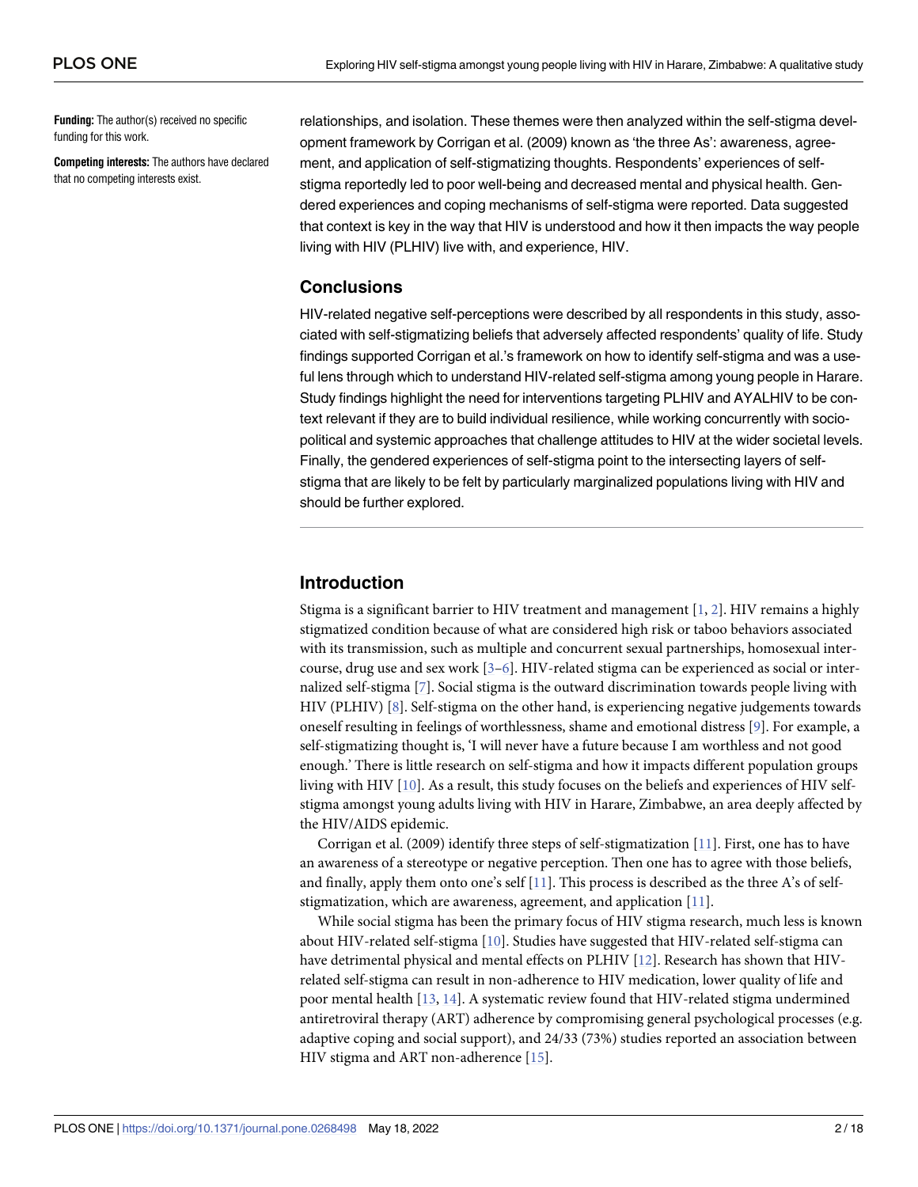<span id="page-1-0"></span>**Funding:** The author(s) received no specific funding for this work.

**Competing interests:** The authors have declared that no competing interests exist.

relationships, and isolation. These themes were then analyzed within the self-stigma development framework by Corrigan et al. (2009) known as 'the three As': awareness, agreement, and application of self-stigmatizing thoughts. Respondents' experiences of selfstigma reportedly led to poor well-being and decreased mental and physical health. Gendered experiences and coping mechanisms of self-stigma were reported. Data suggested that context is key in the way that HIV is understood and how it then impacts the way people living with HIV (PLHIV) live with, and experience, HIV.

# **Conclusions**

HIV-related negative self-perceptions were described by all respondents in this study, associated with self-stigmatizing beliefs that adversely affected respondents' quality of life. Study findings supported Corrigan et al.'s framework on how to identify self-stigma and was a useful lens through which to understand HIV-related self-stigma among young people in Harare. Study findings highlight the need for interventions targeting PLHIV and AYALHIV to be context relevant if they are to build individual resilience, while working concurrently with sociopolitical and systemic approaches that challenge attitudes to HIV at the wider societal levels. Finally, the gendered experiences of self-stigma point to the intersecting layers of selfstigma that are likely to be felt by particularly marginalized populations living with HIV and should be further explored.

# **Introduction**

Stigma is a significant barrier to HIV treatment and management [\[1,](#page-14-0) [2](#page-14-0)]. HIV remains a highly stigmatized condition because of what are considered high risk or taboo behaviors associated with its transmission, such as multiple and concurrent sexual partnerships, homosexual intercourse, drug use and sex work  $[3-6]$ . HIV-related stigma can be experienced as social or internalized self-stigma [[7](#page-15-0)]. Social stigma is the outward discrimination towards people living with HIV (PLHIV) [[8](#page-15-0)]. Self-stigma on the other hand, is experiencing negative judgements towards oneself resulting in feelings of worthlessness, shame and emotional distress [[9\]](#page-15-0). For example, a self-stigmatizing thought is, 'I will never have a future because I am worthless and not good enough.' There is little research on self-stigma and how it impacts different population groups living with HIV [\[10\]](#page-15-0). As a result, this study focuses on the beliefs and experiences of HIV selfstigma amongst young adults living with HIV in Harare, Zimbabwe, an area deeply affected by the HIV/AIDS epidemic.

Corrigan et al. (2009) identify three steps of self-stigmatization [[11](#page-15-0)]. First, one has to have an awareness of a stereotype or negative perception. Then one has to agree with those beliefs, and finally, apply them onto one's self  $[11]$  $[11]$  $[11]$ . This process is described as the three A's of selfstigmatization, which are awareness, agreement, and application [\[11\]](#page-15-0).

While social stigma has been the primary focus of HIV stigma research, much less is known about HIV-related self-stigma [[10](#page-15-0)]. Studies have suggested that HIV-related self-stigma can have detrimental physical and mental effects on PLHIV [[12](#page-15-0)]. Research has shown that HIVrelated self-stigma can result in non-adherence to HIV medication, lower quality of life and poor mental health [\[13,](#page-15-0) [14\]](#page-15-0). A systematic review found that HIV-related stigma undermined antiretroviral therapy (ART) adherence by compromising general psychological processes (e.g. adaptive coping and social support), and 24/33 (73%) studies reported an association between HIV stigma and ART non-adherence [[15](#page-15-0)].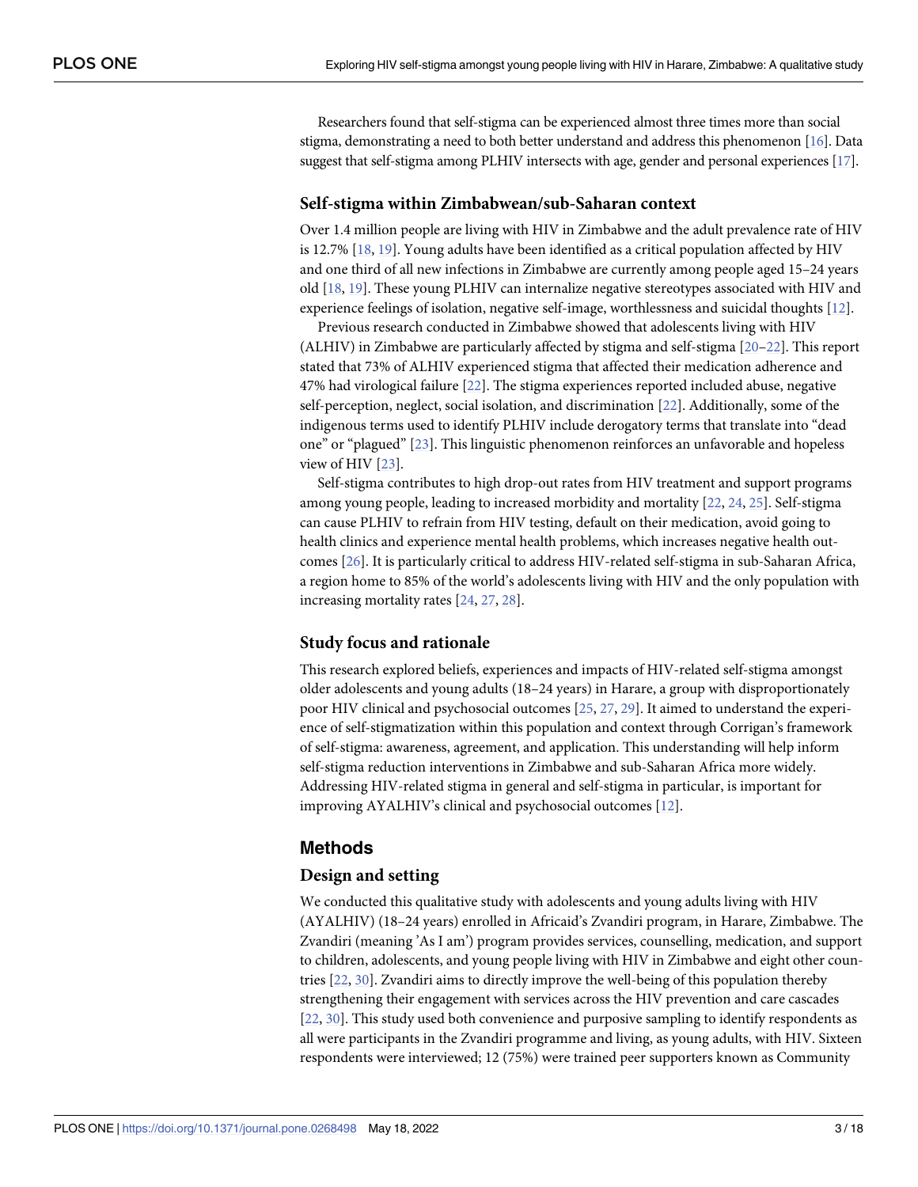<span id="page-2-0"></span>Researchers found that self-stigma can be experienced almost three times more than social stigma, demonstrating a need to both better understand and address this phenomenon [\[16](#page-15-0)]. Data suggest that self-stigma among PLHIV intersects with age, gender and personal experiences [\[17\]](#page-15-0).

#### **Self-stigma within Zimbabwean/sub-Saharan context**

Over 1.4 million people are living with HIV in Zimbabwe and the adult prevalence rate of HIV is 12.7% [\[18,](#page-15-0) [19\]](#page-15-0). Young adults have been identified as a critical population affected by HIV and one third of all new infections in Zimbabwe are currently among people aged 15–24 years old [\[18,](#page-15-0) [19\]](#page-15-0). These young PLHIV can internalize negative stereotypes associated with HIV and experience feelings of isolation, negative self-image, worthlessness and suicidal thoughts [[12](#page-15-0)].

Previous research conducted in Zimbabwe showed that adolescents living with HIV (ALHIV) in Zimbabwe are particularly affected by stigma and self-stigma [[20–22\]](#page-15-0). This report stated that 73% of ALHIV experienced stigma that affected their medication adherence and 47% had virological failure [[22](#page-15-0)]. The stigma experiences reported included abuse, negative self-perception, neglect, social isolation, and discrimination [\[22\]](#page-15-0). Additionally, some of the indigenous terms used to identify PLHIV include derogatory terms that translate into "dead one" or "plagued" [[23](#page-15-0)]. This linguistic phenomenon reinforces an unfavorable and hopeless view of HIV [\[23\]](#page-15-0).

Self-stigma contributes to high drop-out rates from HIV treatment and support programs among young people, leading to increased morbidity and mortality [[22](#page-15-0), [24](#page-15-0), [25](#page-15-0)]. Self-stigma can cause PLHIV to refrain from HIV testing, default on their medication, avoid going to health clinics and experience mental health problems, which increases negative health outcomes [[26](#page-15-0)]. It is particularly critical to address HIV-related self-stigma in sub-Saharan Africa, a region home to 85% of the world's adolescents living with HIV and the only population with increasing mortality rates [[24](#page-15-0), [27](#page-15-0), [28](#page-16-0)].

#### **Study focus and rationale**

This research explored beliefs, experiences and impacts of HIV-related self-stigma amongst older adolescents and young adults (18–24 years) in Harare, a group with disproportionately poor HIV clinical and psychosocial outcomes [\[25,](#page-15-0) [27,](#page-15-0) [29\]](#page-16-0). It aimed to understand the experience of self-stigmatization within this population and context through Corrigan's framework of self-stigma: awareness, agreement, and application. This understanding will help inform self-stigma reduction interventions in Zimbabwe and sub-Saharan Africa more widely. Addressing HIV-related stigma in general and self-stigma in particular, is important for improving AYALHIV's clinical and psychosocial outcomes [[12](#page-15-0)].

# **Methods**

#### **Design and setting**

We conducted this qualitative study with adolescents and young adults living with HIV (AYALHIV) (18–24 years) enrolled in Africaid's Zvandiri program, in Harare, Zimbabwe. The Zvandiri (meaning 'As I am') program provides services, counselling, medication, and support to children, adolescents, and young people living with HIV in Zimbabwe and eight other countries [[22](#page-15-0), [30](#page-16-0)]. Zvandiri aims to directly improve the well-being of this population thereby strengthening their engagement with services across the HIV prevention and care cascades [\[22,](#page-15-0) [30\]](#page-16-0). This study used both convenience and purposive sampling to identify respondents as all were participants in the Zvandiri programme and living, as young adults, with HIV. Sixteen respondents were interviewed; 12 (75%) were trained peer supporters known as Community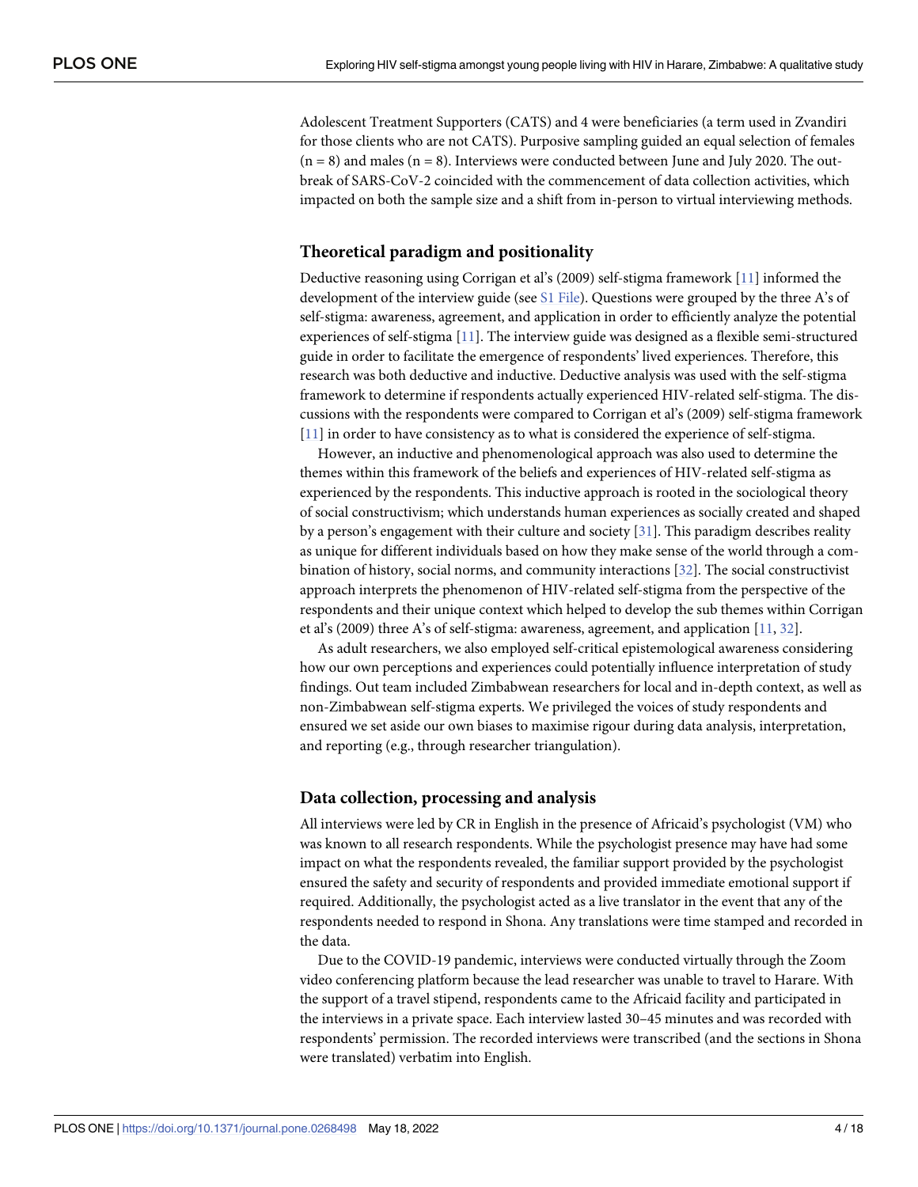<span id="page-3-0"></span>Adolescent Treatment Supporters (CATS) and 4 were beneficiaries (a term used in Zvandiri for those clients who are not CATS). Purposive sampling guided an equal selection of females  $(n = 8)$  and males  $(n = 8)$ . Interviews were conducted between June and July 2020. The outbreak of SARS-CoV-2 coincided with the commencement of data collection activities, which impacted on both the sample size and a shift from in-person to virtual interviewing methods.

#### **Theoretical paradigm and positionality**

Deductive reasoning using Corrigan et al's (2009) self-stigma framework [[11](#page-15-0)] informed the development of the interview guide (see S1 [File\)](#page-14-0). Questions were grouped by the three A's of self-stigma: awareness, agreement, and application in order to efficiently analyze the potential experiences of self-stigma [[11](#page-15-0)]. The interview guide was designed as a flexible semi-structured guide in order to facilitate the emergence of respondents' lived experiences. Therefore, this research was both deductive and inductive. Deductive analysis was used with the self-stigma framework to determine if respondents actually experienced HIV-related self-stigma. The discussions with the respondents were compared to Corrigan et al's (2009) self-stigma framework [\[11\]](#page-15-0) in order to have consistency as to what is considered the experience of self-stigma.

However, an inductive and phenomenological approach was also used to determine the themes within this framework of the beliefs and experiences of HIV-related self-stigma as experienced by the respondents. This inductive approach is rooted in the sociological theory of social constructivism; which understands human experiences as socially created and shaped by a person's engagement with their culture and society [\[31\]](#page-16-0). This paradigm describes reality as unique for different individuals based on how they make sense of the world through a combination of history, social norms, and community interactions [[32](#page-16-0)]. The social constructivist approach interprets the phenomenon of HIV-related self-stigma from the perspective of the respondents and their unique context which helped to develop the sub themes within Corrigan et al's (2009) three A's of self-stigma: awareness, agreement, and application [\[11,](#page-15-0) [32\]](#page-16-0).

As adult researchers, we also employed self-critical epistemological awareness considering how our own perceptions and experiences could potentially influence interpretation of study findings. Out team included Zimbabwean researchers for local and in-depth context, as well as non-Zimbabwean self-stigma experts. We privileged the voices of study respondents and ensured we set aside our own biases to maximise rigour during data analysis, interpretation, and reporting (e.g., through researcher triangulation).

#### **Data collection, processing and analysis**

All interviews were led by CR in English in the presence of Africaid's psychologist (VM) who was known to all research respondents. While the psychologist presence may have had some impact on what the respondents revealed, the familiar support provided by the psychologist ensured the safety and security of respondents and provided immediate emotional support if required. Additionally, the psychologist acted as a live translator in the event that any of the respondents needed to respond in Shona. Any translations were time stamped and recorded in the data.

Due to the COVID-19 pandemic, interviews were conducted virtually through the Zoom video conferencing platform because the lead researcher was unable to travel to Harare. With the support of a travel stipend, respondents came to the Africaid facility and participated in the interviews in a private space. Each interview lasted 30–45 minutes and was recorded with respondents' permission. The recorded interviews were transcribed (and the sections in Shona were translated) verbatim into English.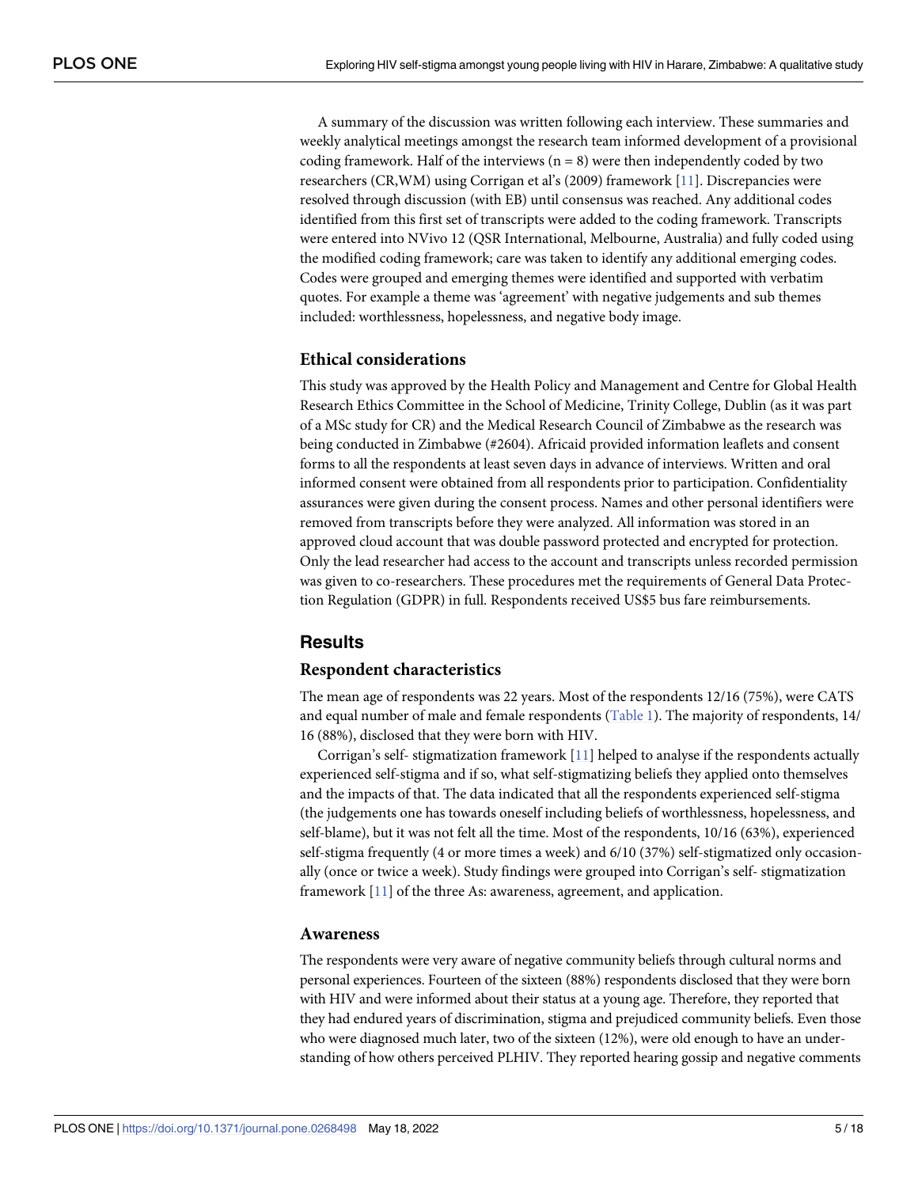<span id="page-4-0"></span>A summary of the discussion was written following each interview. These summaries and weekly analytical meetings amongst the research team informed development of a provisional coding framework. Half of the interviews  $(n = 8)$  were then independently coded by two researchers (CR,WM) using Corrigan et al's (2009) framework [[11](#page-15-0)]. Discrepancies were resolved through discussion (with EB) until consensus was reached. Any additional codes identified from this first set of transcripts were added to the coding framework. Transcripts were entered into NVivo 12 (QSR International, Melbourne, Australia) and fully coded using the modified coding framework; care was taken to identify any additional emerging codes. Codes were grouped and emerging themes were identified and supported with verbatim quotes. For example a theme was 'agreement' with negative judgements and sub themes included: worthlessness, hopelessness, and negative body image.

#### **Ethical considerations**

This study was approved by the Health Policy and Management and Centre for Global Health Research Ethics Committee in the School of Medicine, Trinity College, Dublin (as it was part of a MSc study for CR) and the Medical Research Council of Zimbabwe as the research was being conducted in Zimbabwe (#2604). Africaid provided information leaflets and consent forms to all the respondents at least seven days in advance of interviews. Written and oral informed consent were obtained from all respondents prior to participation. Confidentiality assurances were given during the consent process. Names and other personal identifiers were removed from transcripts before they were analyzed. All information was stored in an approved cloud account that was double password protected and encrypted for protection. Only the lead researcher had access to the account and transcripts unless recorded permission was given to co-researchers. These procedures met the requirements of General Data Protection Regulation (GDPR) in full. Respondents received US\$5 bus fare reimbursements.

# **Results**

#### **Respondent characteristics**

The mean age of respondents was 22 years. Most of the respondents 12/16 (75%), were CATS and equal number of male and female respondents [\(Table](#page-5-0) 1). The majority of respondents, 14/ 16 (88%), disclosed that they were born with HIV.

Corrigan's self- stigmatization framework [[11](#page-15-0)] helped to analyse if the respondents actually experienced self-stigma and if so, what self-stigmatizing beliefs they applied onto themselves and the impacts of that. The data indicated that all the respondents experienced self-stigma (the judgements one has towards oneself including beliefs of worthlessness, hopelessness, and self-blame), but it was not felt all the time. Most of the respondents, 10/16 (63%), experienced self-stigma frequently (4 or more times a week) and 6/10 (37%) self-stigmatized only occasionally (once or twice a week). Study findings were grouped into Corrigan's self- stigmatization framework [[11](#page-15-0)] of the three As: awareness, agreement, and application.

#### **Awareness**

The respondents were very aware of negative community beliefs through cultural norms and personal experiences. Fourteen of the sixteen (88%) respondents disclosed that they were born with HIV and were informed about their status at a young age. Therefore, they reported that they had endured years of discrimination, stigma and prejudiced community beliefs. Even those who were diagnosed much later, two of the sixteen (12%), were old enough to have an understanding of how others perceived PLHIV. They reported hearing gossip and negative comments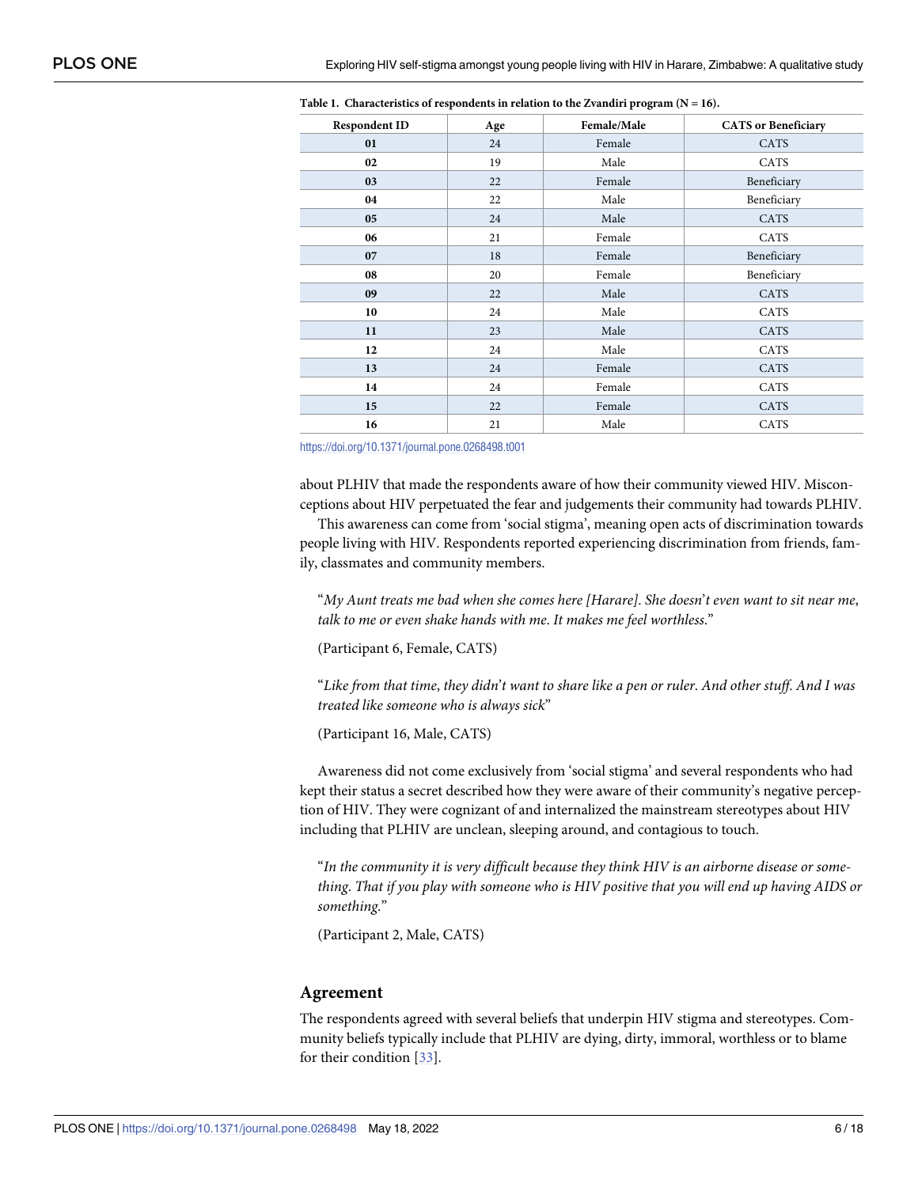| <b>Respondent ID</b> | Age | Female/Male | <b>CATS</b> or Beneficiary |
|----------------------|-----|-------------|----------------------------|
| 01                   | 24  | Female      | CATS                       |
| 02                   | 19  | Male        | CATS                       |
| 03                   | 22  | Female      | Beneficiary                |
| 04                   | 22  | Male        | Beneficiary                |
| 05                   | 24  | Male        | <b>CATS</b>                |
| 06                   | 21  | Female      | CATS                       |
| 07                   | 18  | Female      | Beneficiary                |
| 08                   | 20  | Female      | Beneficiary                |
| 09                   | 22  | Male        | CATS                       |
| 10                   | 24  | Male        | CATS                       |
| 11                   | 23  | Male        | CATS                       |
| 12                   | 24  | Male        | CATS                       |
| 13                   | 24  | Female      | CATS                       |
| 14                   | 24  | Female      | CATS                       |
| 15                   | 22  | Female      | CATS                       |
| 16                   | 21  | Male        | CATS                       |

<span id="page-5-0"></span>**[Table](#page-4-0) 1. Characteristics of respondents in relation to the Zvandiri program (N = 16).**

<https://doi.org/10.1371/journal.pone.0268498.t001>

about PLHIV that made the respondents aware of how their community viewed HIV. Misconceptions about HIV perpetuated the fear and judgements their community had towards PLHIV.

This awareness can come from 'social stigma', meaning open acts of discrimination towards people living with HIV. Respondents reported experiencing discrimination from friends, family, classmates and community members.

"*My Aunt treats me bad when she comes here [Harare]*. *She doesn*'*t even want to sit near me*, *talk to me or even shake hands with me*. *It makes me feel worthless*."

(Participant 6, Female, CATS)

"Like from that time, they didn't want to share like a pen or ruler. And other stuff. And I was *treated like someone who is always sick*"

(Participant 16, Male, CATS)

Awareness did not come exclusively from 'social stigma' and several respondents who had kept their status a secret described how they were aware of their community's negative perception of HIV. They were cognizant of and internalized the mainstream stereotypes about HIV including that PLHIV are unclean, sleeping around, and contagious to touch.

"*In the community it is very difficult because they think HIV is an airborne disease or some*thing. That if you play with someone who is HIV positive that you will end up having AIDS or *something*."

(Participant 2, Male, CATS)

#### **Agreement**

The respondents agreed with several beliefs that underpin HIV stigma and stereotypes. Community beliefs typically include that PLHIV are dying, dirty, immoral, worthless or to blame for their condition [\[33\]](#page-16-0).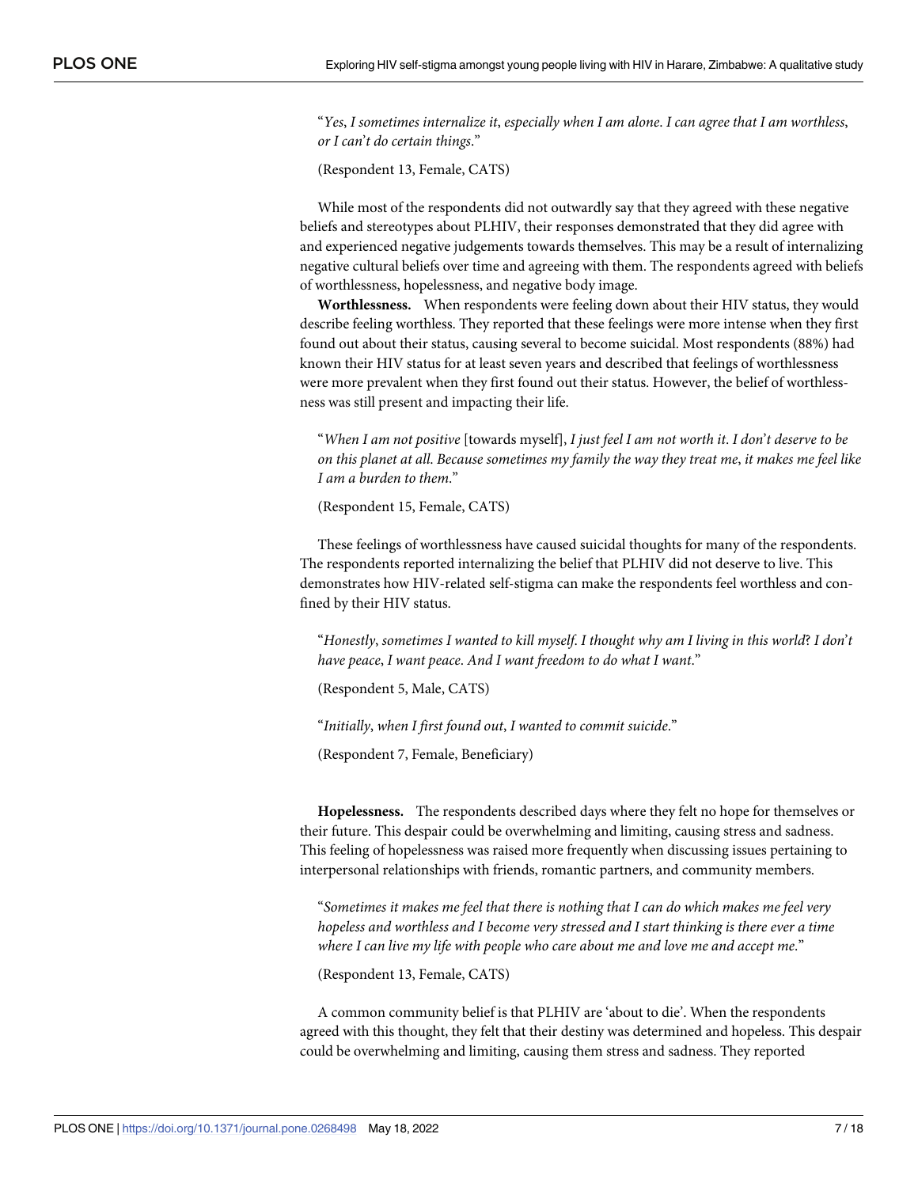"*Yes*, *I sometimes internalize it*, *especially when I am alone*. *I can agree that I am worthless*, *or I can*'*t do certain things*."

(Respondent 13, Female, CATS)

While most of the respondents did not outwardly say that they agreed with these negative beliefs and stereotypes about PLHIV, their responses demonstrated that they did agree with and experienced negative judgements towards themselves. This may be a result of internalizing negative cultural beliefs over time and agreeing with them. The respondents agreed with beliefs of worthlessness, hopelessness, and negative body image.

**Worthlessness.** When respondents were feeling down about their HIV status, they would describe feeling worthless. They reported that these feelings were more intense when they first found out about their status, causing several to become suicidal. Most respondents (88%) had known their HIV status for at least seven years and described that feelings of worthlessness were more prevalent when they first found out their status. However, the belief of worthlessness was still present and impacting their life.

"When I am not positive [towards myself], I just feel I am not worth it. I don't deserve to be on this planet at all. Because sometimes my family the way they treat me, it makes me feel like *I am a burden to them*."

(Respondent 15, Female, CATS)

These feelings of worthlessness have caused suicidal thoughts for many of the respondents. The respondents reported internalizing the belief that PLHIV did not deserve to live. This demonstrates how HIV-related self-stigma can make the respondents feel worthless and confined by their HIV status.

"Honestly, sometimes I wanted to kill myself. I thought why am I living in this world? I don't *have peace*, *I want peace*. *And I want freedom to do what I want*."

(Respondent 5, Male, CATS)

"*Initially*, *when I first found out*, *I wanted to commit suicide*."

(Respondent 7, Female, Beneficiary)

**Hopelessness.** The respondents described days where they felt no hope for themselves or their future. This despair could be overwhelming and limiting, causing stress and sadness. This feeling of hopelessness was raised more frequently when discussing issues pertaining to interpersonal relationships with friends, romantic partners, and community members.

"*Sometimes it makes me feel that there is nothing that I can do which makes me feel very hopeless and worthless and I become very stressed and I start thinking is there ever a time where I can live my life with people who care about me and love me and accept me*."

(Respondent 13, Female, CATS)

A common community belief is that PLHIV are 'about to die'. When the respondents agreed with this thought, they felt that their destiny was determined and hopeless. This despair could be overwhelming and limiting, causing them stress and sadness. They reported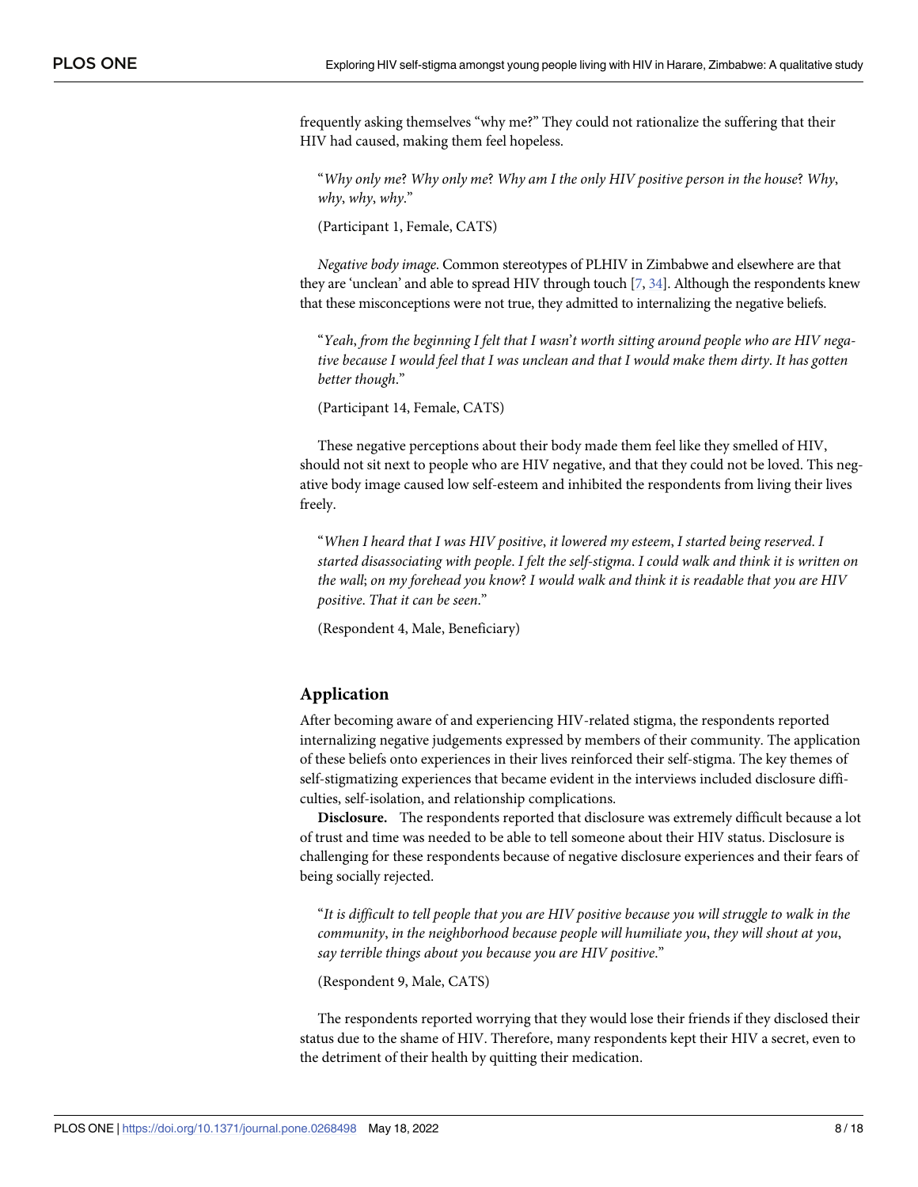<span id="page-7-0"></span>frequently asking themselves "why me?" They could not rationalize the suffering that their HIV had caused, making them feel hopeless.

"*Why only me*? *Why only me*? *Why am I the only HIV positive person in the house*? *Why*, *why*, *why*, *why*."

(Participant 1, Female, CATS)

*Negative body image*. Common stereotypes of PLHIV in Zimbabwe and elsewhere are that they are 'unclean' and able to spread HIV through touch [[7](#page-15-0), [34\]](#page-16-0). Although the respondents knew that these misconceptions were not true, they admitted to internalizing the negative beliefs.

"*Yeah*, *from the beginning I felt that I wasn*'*t worth sitting around people who are HIV nega*tive because I would feel that I was unclean and that I would make them dirty. It has gotten *better though*."

(Participant 14, Female, CATS)

These negative perceptions about their body made them feel like they smelled of HIV, should not sit next to people who are HIV negative, and that they could not be loved. This negative body image caused low self-esteem and inhibited the respondents from living their lives freely.

"*When I heard that I was HIV positive*, *it lowered my esteem*, *I started being reserved*. *I started disassociating with people*. *I felt the self-stigma*. *I could walk and think it is written on the wall*; *on my forehead you know*? *I would walk and think it is readable that you are HIV positive*. *That it can be seen*."

(Respondent 4, Male, Beneficiary)

#### **Application**

After becoming aware of and experiencing HIV-related stigma, the respondents reported internalizing negative judgements expressed by members of their community. The application of these beliefs onto experiences in their lives reinforced their self-stigma. The key themes of self-stigmatizing experiences that became evident in the interviews included disclosure difficulties, self-isolation, and relationship complications.

**Disclosure.** The respondents reported that disclosure was extremely difficult because a lot of trust and time was needed to be able to tell someone about their HIV status. Disclosure is challenging for these respondents because of negative disclosure experiences and their fears of being socially rejected.

"It is difficult to tell people that you are HIV positive because you will struggle to walk in the *community*, *in the neighborhood because people will humiliate you*, *they will shout at you*, *say terrible things about you because you are HIV positive*."

(Respondent 9, Male, CATS)

The respondents reported worrying that they would lose their friends if they disclosed their status due to the shame of HIV. Therefore, many respondents kept their HIV a secret, even to the detriment of their health by quitting their medication.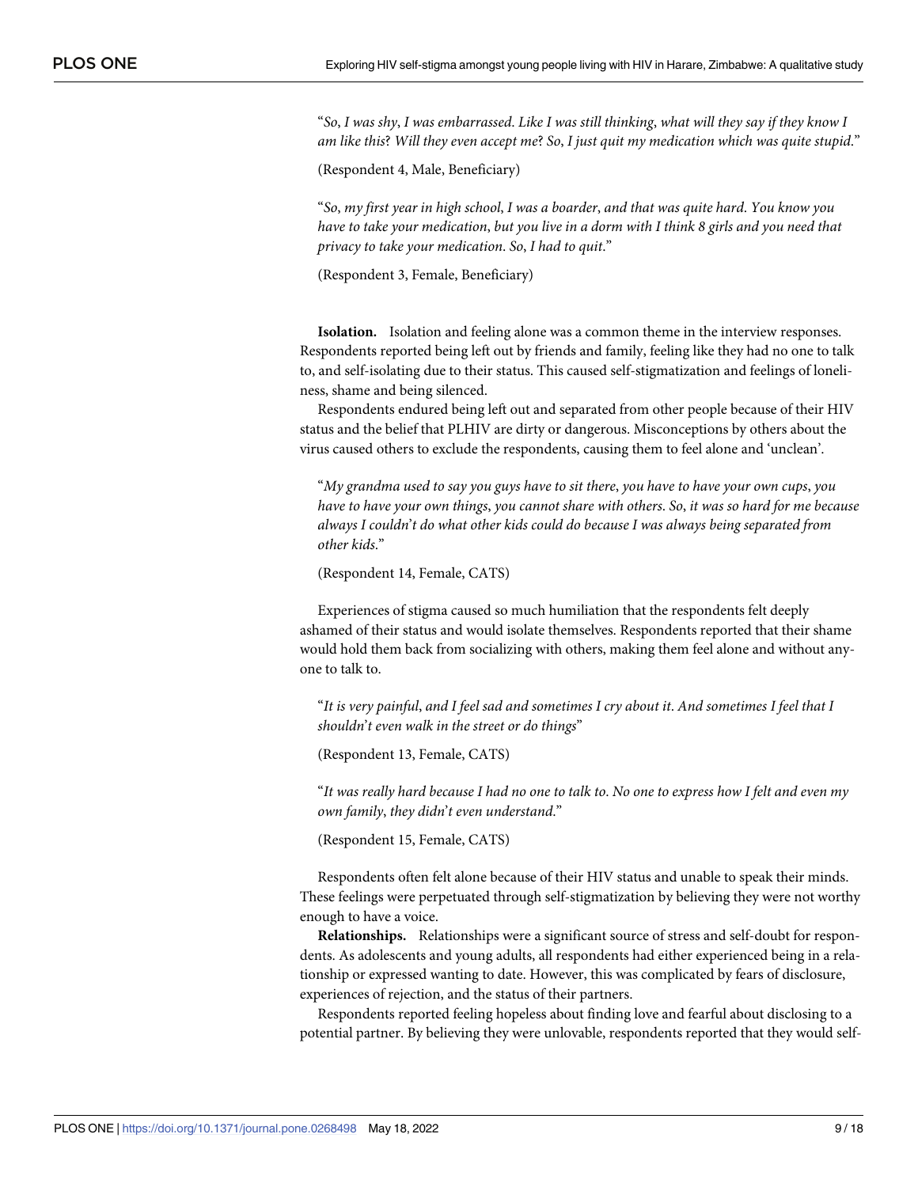"So, I was shy, I was embarrassed. Like I was still thinking, what will they say if they know I *am like this*? *Will they even accept me*? *So*, *I just quit my medication which was quite stupid*."

(Respondent 4, Male, Beneficiary)

"*So*, *my first year in high school*, *I was a boarder*, *and that was quite hard*. *You know you* have to take your medication, but you live in a dorm with I think 8 girls and you need that *privacy to take your medication*. *So*, *I had to quit*."

(Respondent 3, Female, Beneficiary)

**Isolation.** Isolation and feeling alone was a common theme in the interview responses. Respondents reported being left out by friends and family, feeling like they had no one to talk to, and self-isolating due to their status. This caused self-stigmatization and feelings of loneliness, shame and being silenced.

Respondents endured being left out and separated from other people because of their HIV status and the belief that PLHIV are dirty or dangerous. Misconceptions by others about the virus caused others to exclude the respondents, causing them to feel alone and 'unclean'.

"*My grandma used to say you guys have to sit there*, *you have to have your own cups*, *you* have to have your own things, you cannot share with others. So, it was so hard for me because *always I couldn*'*t do what other kids could do because I was always being separated from other kids*."

(Respondent 14, Female, CATS)

Experiences of stigma caused so much humiliation that the respondents felt deeply ashamed of their status and would isolate themselves. Respondents reported that their shame would hold them back from socializing with others, making them feel alone and without anyone to talk to.

"It is very painful, and I feel sad and sometimes I cry about it. And sometimes I feel that I *shouldn*'*t even walk in the street or do things*"

(Respondent 13, Female, CATS)

"It was really hard because I had no one to talk to. No one to express how I felt and even my *own family*, *they didn*'*t even understand*."

(Respondent 15, Female, CATS)

Respondents often felt alone because of their HIV status and unable to speak their minds. These feelings were perpetuated through self-stigmatization by believing they were not worthy enough to have a voice.

**Relationships.** Relationships were a significant source of stress and self-doubt for respondents. As adolescents and young adults, all respondents had either experienced being in a relationship or expressed wanting to date. However, this was complicated by fears of disclosure, experiences of rejection, and the status of their partners.

Respondents reported feeling hopeless about finding love and fearful about disclosing to a potential partner. By believing they were unlovable, respondents reported that they would self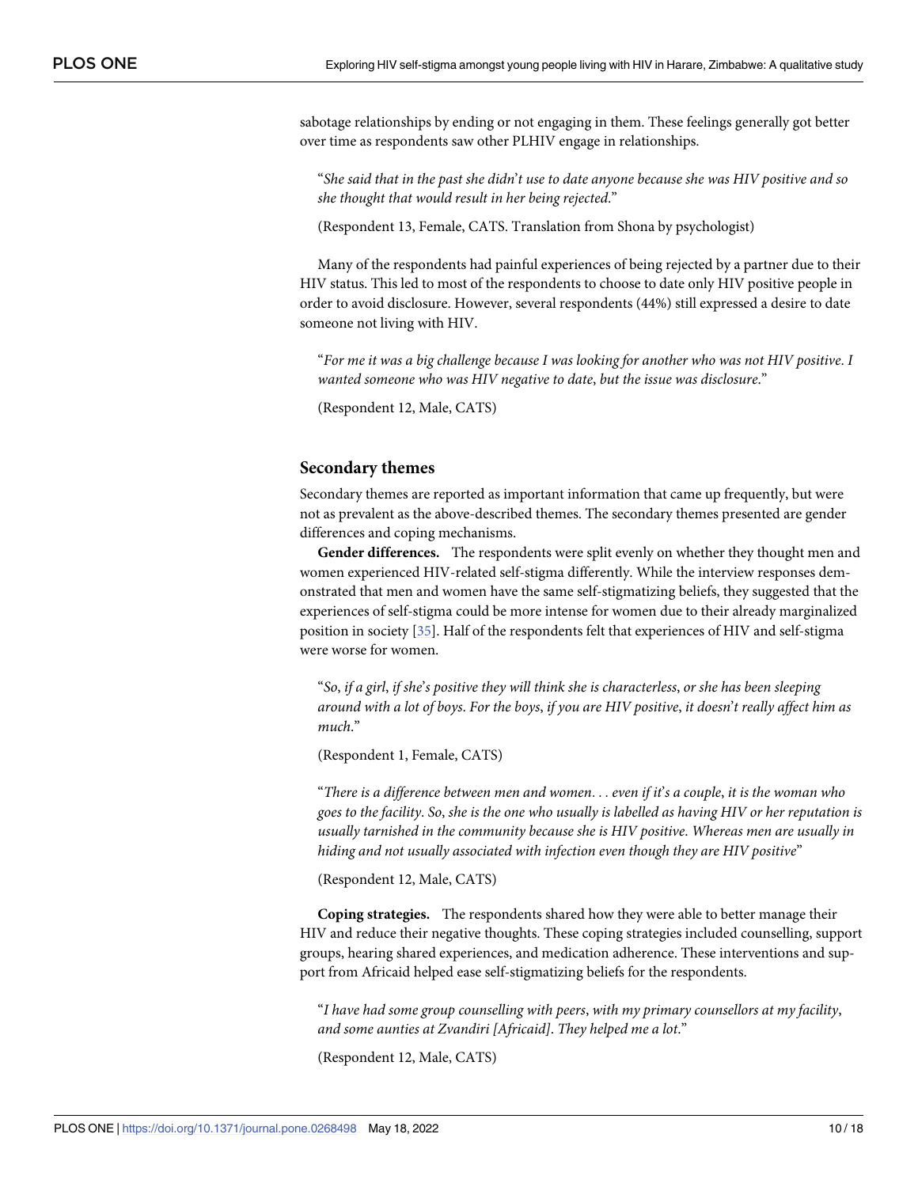<span id="page-9-0"></span>sabotage relationships by ending or not engaging in them. These feelings generally got better over time as respondents saw other PLHIV engage in relationships.

"She said that in the past she didn't use to date anyone because she was HIV positive and so *she thought that would result in her being rejected*."

(Respondent 13, Female, CATS. Translation from Shona by psychologist)

Many of the respondents had painful experiences of being rejected by a partner due to their HIV status. This led to most of the respondents to choose to date only HIV positive people in order to avoid disclosure. However, several respondents (44%) still expressed a desire to date someone not living with HIV.

"For me it was a big challenge because I was looking for another who was not HIV positive. I *wanted someone who was HIV negative to date*, *but the issue was disclosure*."

(Respondent 12, Male, CATS)

#### **Secondary themes**

Secondary themes are reported as important information that came up frequently, but were not as prevalent as the above-described themes. The secondary themes presented are gender differences and coping mechanisms.

**Gender differences.** The respondents were split evenly on whether they thought men and women experienced HIV-related self-stigma differently. While the interview responses demonstrated that men and women have the same self-stigmatizing beliefs, they suggested that the experiences of self-stigma could be more intense for women due to their already marginalized position in society [\[35\]](#page-16-0). Half of the respondents felt that experiences of HIV and self-stigma were worse for women.

"So, if a girl, if she's positive they will think she is characterless, or she has been sleeping around with a lot of boys. For the boys, if you are HIV positive, it doesn't really affect him as *much*."

(Respondent 1, Female, CATS)

"There is a difference between men and women... even if it's a couple, it is the woman who goes to the facility. So, she is the one who usually is labelled as having HIV or her reputation is *usually tarnished in the community because she is HIV positive*. *Whereas men are usually in hiding and not usually associated with infection even though they are HIV positive*"

(Respondent 12, Male, CATS)

**Coping strategies.** The respondents shared how they were able to better manage their HIV and reduce their negative thoughts. These coping strategies included counselling, support groups, hearing shared experiences, and medication adherence. These interventions and support from Africaid helped ease self-stigmatizing beliefs for the respondents.

"*I have had some group counselling with peers*, *with my primary counsellors at my facility*, *and some aunties at Zvandiri [Africaid]*. *They helped me a lot*."

(Respondent 12, Male, CATS)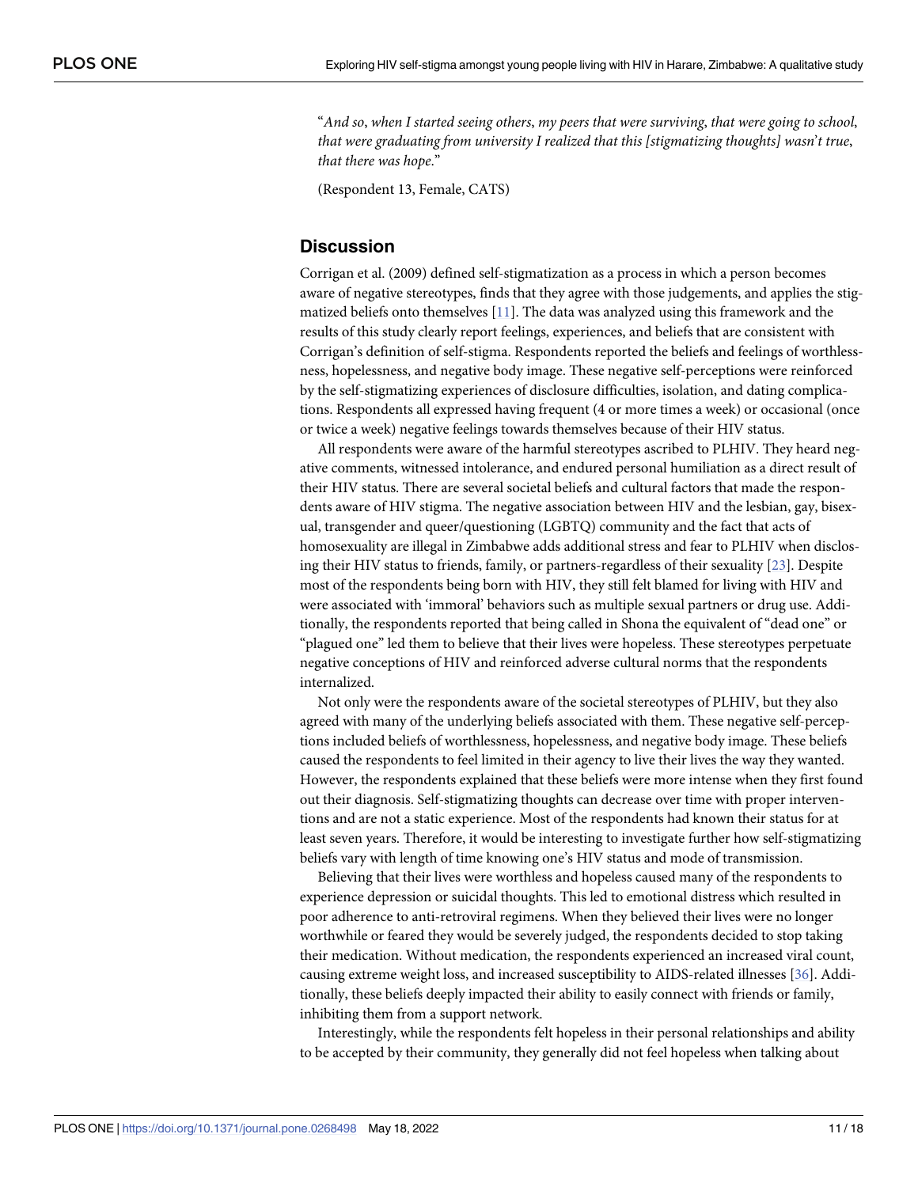<span id="page-10-0"></span>"*And so*, *when I started seeing others*, *my peers that were surviving*, *that were going to school*, *that were graduating from university I realized that this [stigmatizing thoughts] wasn*'*t true*, *that there was hope*."

(Respondent 13, Female, CATS)

# **Discussion**

Corrigan et al. (2009) defined self-stigmatization as a process in which a person becomes aware of negative stereotypes, finds that they agree with those judgements, and applies the stigmatized beliefs onto themselves [\[11\]](#page-15-0). The data was analyzed using this framework and the results of this study clearly report feelings, experiences, and beliefs that are consistent with Corrigan's definition of self-stigma. Respondents reported the beliefs and feelings of worthlessness, hopelessness, and negative body image. These negative self-perceptions were reinforced by the self-stigmatizing experiences of disclosure difficulties, isolation, and dating complications. Respondents all expressed having frequent (4 or more times a week) or occasional (once or twice a week) negative feelings towards themselves because of their HIV status.

All respondents were aware of the harmful stereotypes ascribed to PLHIV. They heard negative comments, witnessed intolerance, and endured personal humiliation as a direct result of their HIV status. There are several societal beliefs and cultural factors that made the respondents aware of HIV stigma. The negative association between HIV and the lesbian, gay, bisexual, transgender and queer/questioning (LGBTQ) community and the fact that acts of homosexuality are illegal in Zimbabwe adds additional stress and fear to PLHIV when disclosing their HIV status to friends, family, or partners-regardless of their sexuality [[23](#page-15-0)]. Despite most of the respondents being born with HIV, they still felt blamed for living with HIV and were associated with 'immoral' behaviors such as multiple sexual partners or drug use. Additionally, the respondents reported that being called in Shona the equivalent of "dead one" or "plagued one" led them to believe that their lives were hopeless. These stereotypes perpetuate negative conceptions of HIV and reinforced adverse cultural norms that the respondents internalized.

Not only were the respondents aware of the societal stereotypes of PLHIV, but they also agreed with many of the underlying beliefs associated with them. These negative self-perceptions included beliefs of worthlessness, hopelessness, and negative body image. These beliefs caused the respondents to feel limited in their agency to live their lives the way they wanted. However, the respondents explained that these beliefs were more intense when they first found out their diagnosis. Self-stigmatizing thoughts can decrease over time with proper interventions and are not a static experience. Most of the respondents had known their status for at least seven years. Therefore, it would be interesting to investigate further how self-stigmatizing beliefs vary with length of time knowing one's HIV status and mode of transmission.

Believing that their lives were worthless and hopeless caused many of the respondents to experience depression or suicidal thoughts. This led to emotional distress which resulted in poor adherence to anti-retroviral regimens. When they believed their lives were no longer worthwhile or feared they would be severely judged, the respondents decided to stop taking their medication. Without medication, the respondents experienced an increased viral count, causing extreme weight loss, and increased susceptibility to AIDS-related illnesses [\[36\]](#page-16-0). Additionally, these beliefs deeply impacted their ability to easily connect with friends or family, inhibiting them from a support network.

Interestingly, while the respondents felt hopeless in their personal relationships and ability to be accepted by their community, they generally did not feel hopeless when talking about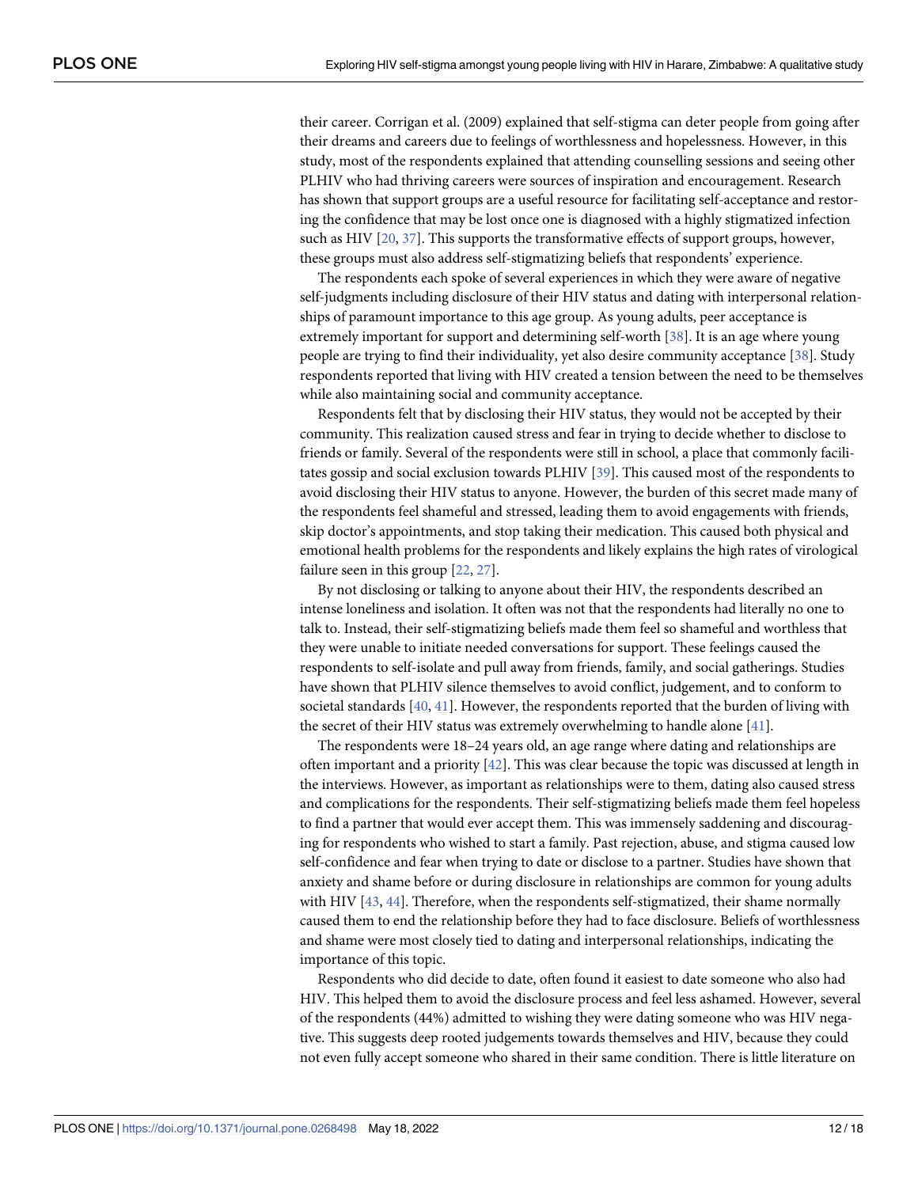<span id="page-11-0"></span>their career. Corrigan et al. (2009) explained that self-stigma can deter people from going after their dreams and careers due to feelings of worthlessness and hopelessness. However, in this study, most of the respondents explained that attending counselling sessions and seeing other PLHIV who had thriving careers were sources of inspiration and encouragement. Research has shown that support groups are a useful resource for facilitating self-acceptance and restoring the confidence that may be lost once one is diagnosed with a highly stigmatized infection such as HIV [\[20,](#page-15-0) [37\]](#page-16-0). This supports the transformative effects of support groups, however, these groups must also address self-stigmatizing beliefs that respondents' experience.

The respondents each spoke of several experiences in which they were aware of negative self-judgments including disclosure of their HIV status and dating with interpersonal relationships of paramount importance to this age group. As young adults, peer acceptance is extremely important for support and determining self-worth [[38](#page-16-0)]. It is an age where young people are trying to find their individuality, yet also desire community acceptance [\[38\]](#page-16-0). Study respondents reported that living with HIV created a tension between the need to be themselves while also maintaining social and community acceptance.

Respondents felt that by disclosing their HIV status, they would not be accepted by their community. This realization caused stress and fear in trying to decide whether to disclose to friends or family. Several of the respondents were still in school, a place that commonly facilitates gossip and social exclusion towards PLHIV [[39](#page-16-0)]. This caused most of the respondents to avoid disclosing their HIV status to anyone. However, the burden of this secret made many of the respondents feel shameful and stressed, leading them to avoid engagements with friends, skip doctor's appointments, and stop taking their medication. This caused both physical and emotional health problems for the respondents and likely explains the high rates of virological failure seen in this group [\[22,](#page-15-0) [27\]](#page-15-0).

By not disclosing or talking to anyone about their HIV, the respondents described an intense loneliness and isolation. It often was not that the respondents had literally no one to talk to. Instead, their self-stigmatizing beliefs made them feel so shameful and worthless that they were unable to initiate needed conversations for support. These feelings caused the respondents to self-isolate and pull away from friends, family, and social gatherings. Studies have shown that PLHIV silence themselves to avoid conflict, judgement, and to conform to societal standards [\[40,](#page-16-0) [41\]](#page-16-0). However, the respondents reported that the burden of living with the secret of their HIV status was extremely overwhelming to handle alone [\[41\]](#page-16-0).

The respondents were 18–24 years old, an age range where dating and relationships are often important and a priority  $[42]$  $[42]$  $[42]$ . This was clear because the topic was discussed at length in the interviews. However, as important as relationships were to them, dating also caused stress and complications for the respondents. Their self-stigmatizing beliefs made them feel hopeless to find a partner that would ever accept them. This was immensely saddening and discouraging for respondents who wished to start a family. Past rejection, abuse, and stigma caused low self-confidence and fear when trying to date or disclose to a partner. Studies have shown that anxiety and shame before or during disclosure in relationships are common for young adults with HIV [[43](#page-16-0), [44](#page-16-0)]. Therefore, when the respondents self-stigmatized, their shame normally caused them to end the relationship before they had to face disclosure. Beliefs of worthlessness and shame were most closely tied to dating and interpersonal relationships, indicating the importance of this topic.

Respondents who did decide to date, often found it easiest to date someone who also had HIV. This helped them to avoid the disclosure process and feel less ashamed. However, several of the respondents (44%) admitted to wishing they were dating someone who was HIV negative. This suggests deep rooted judgements towards themselves and HIV, because they could not even fully accept someone who shared in their same condition. There is little literature on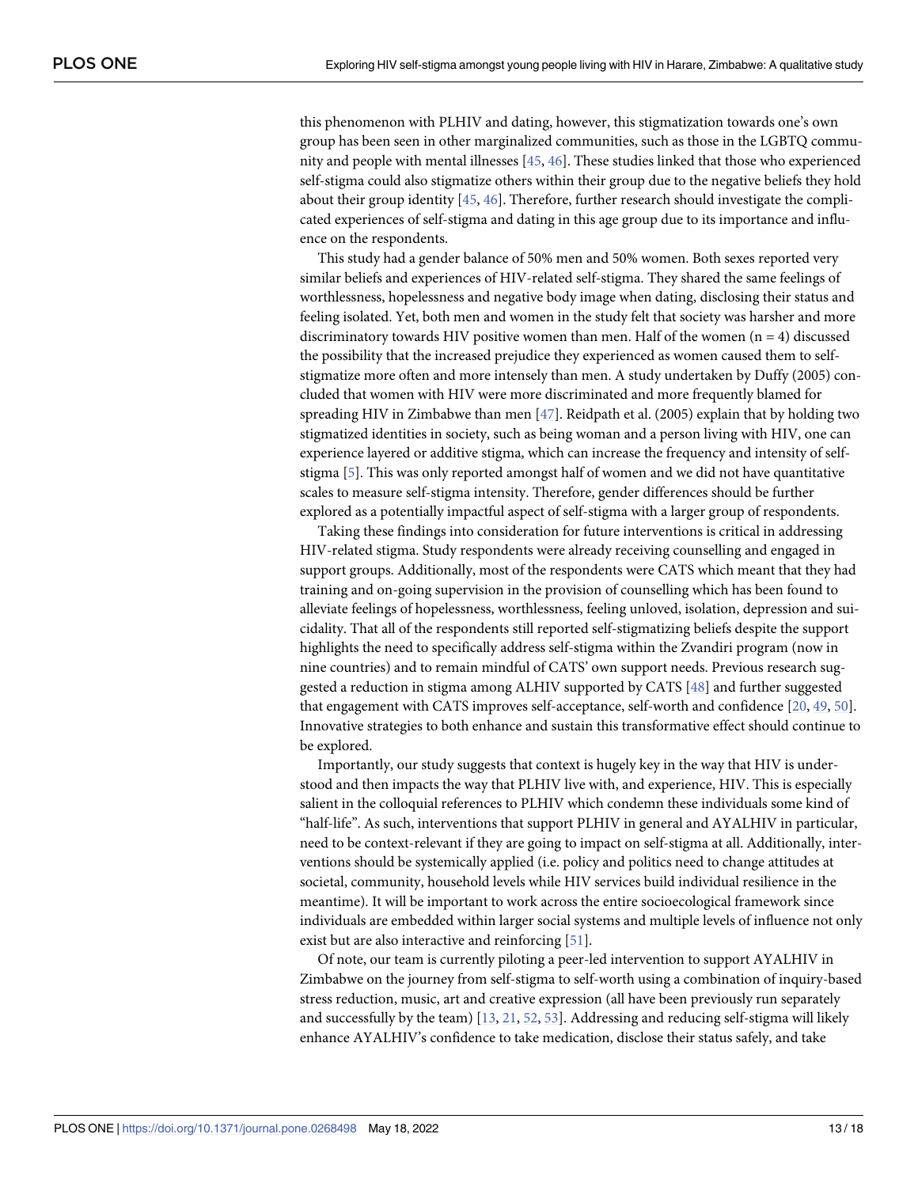<span id="page-12-0"></span>this phenomenon with PLHIV and dating, however, this stigmatization towards one's own group has been seen in other marginalized communities, such as those in the LGBTQ community and people with mental illnesses [[45](#page-16-0), [46](#page-16-0)]. These studies linked that those who experienced self-stigma could also stigmatize others within their group due to the negative beliefs they hold about their group identity [[45](#page-16-0), [46](#page-16-0)]. Therefore, further research should investigate the complicated experiences of self-stigma and dating in this age group due to its importance and influence on the respondents.

This study had a gender balance of 50% men and 50% women. Both sexes reported very similar beliefs and experiences of HIV-related self-stigma. They shared the same feelings of worthlessness, hopelessness and negative body image when dating, disclosing their status and feeling isolated. Yet, both men and women in the study felt that society was harsher and more discriminatory towards HIV positive women than men. Half of the women  $(n = 4)$  discussed the possibility that the increased prejudice they experienced as women caused them to selfstigmatize more often and more intensely than men. A study undertaken by Duffy (2005) concluded that women with HIV were more discriminated and more frequently blamed for spreading HIV in Zimbabwe than men [\[47\]](#page-16-0). Reidpath et al. (2005) explain that by holding two stigmatized identities in society, such as being woman and a person living with HIV, one can experience layered or additive stigma, which can increase the frequency and intensity of selfstigma [\[5\]](#page-14-0). This was only reported amongst half of women and we did not have quantitative scales to measure self-stigma intensity. Therefore, gender differences should be further explored as a potentially impactful aspect of self-stigma with a larger group of respondents.

Taking these findings into consideration for future interventions is critical in addressing HIV-related stigma. Study respondents were already receiving counselling and engaged in support groups. Additionally, most of the respondents were CATS which meant that they had training and on-going supervision in the provision of counselling which has been found to alleviate feelings of hopelessness, worthlessness, feeling unloved, isolation, depression and suicidality. That all of the respondents still reported self-stigmatizing beliefs despite the support highlights the need to specifically address self-stigma within the Zvandiri program (now in nine countries) and to remain mindful of CATS' own support needs. Previous research suggested a reduction in stigma among ALHIV supported by CATS [[48](#page-17-0)] and further suggested that engagement with CATS improves self-acceptance, self-worth and confidence [[20](#page-15-0), [49,](#page-17-0) [50\]](#page-17-0). Innovative strategies to both enhance and sustain this transformative effect should continue to be explored.

Importantly, our study suggests that context is hugely key in the way that HIV is understood and then impacts the way that PLHIV live with, and experience, HIV. This is especially salient in the colloquial references to PLHIV which condemn these individuals some kind of "half-life". As such, interventions that support PLHIV in general and AYALHIV in particular, need to be context-relevant if they are going to impact on self-stigma at all. Additionally, interventions should be systemically applied (i.e. policy and politics need to change attitudes at societal, community, household levels while HIV services build individual resilience in the meantime). It will be important to work across the entire socioecological framework since individuals are embedded within larger social systems and multiple levels of influence not only exist but are also interactive and reinforcing [\[51\]](#page-17-0).

Of note, our team is currently piloting a peer-led intervention to support AYALHIV in Zimbabwe on the journey from self-stigma to self-worth using a combination of inquiry-based stress reduction, music, art and creative expression (all have been previously run separately and successfully by the team) [\[13,](#page-15-0) [21,](#page-15-0) [52,](#page-17-0) [53\]](#page-17-0). Addressing and reducing self-stigma will likely enhance AYALHIV's confidence to take medication, disclose their status safely, and take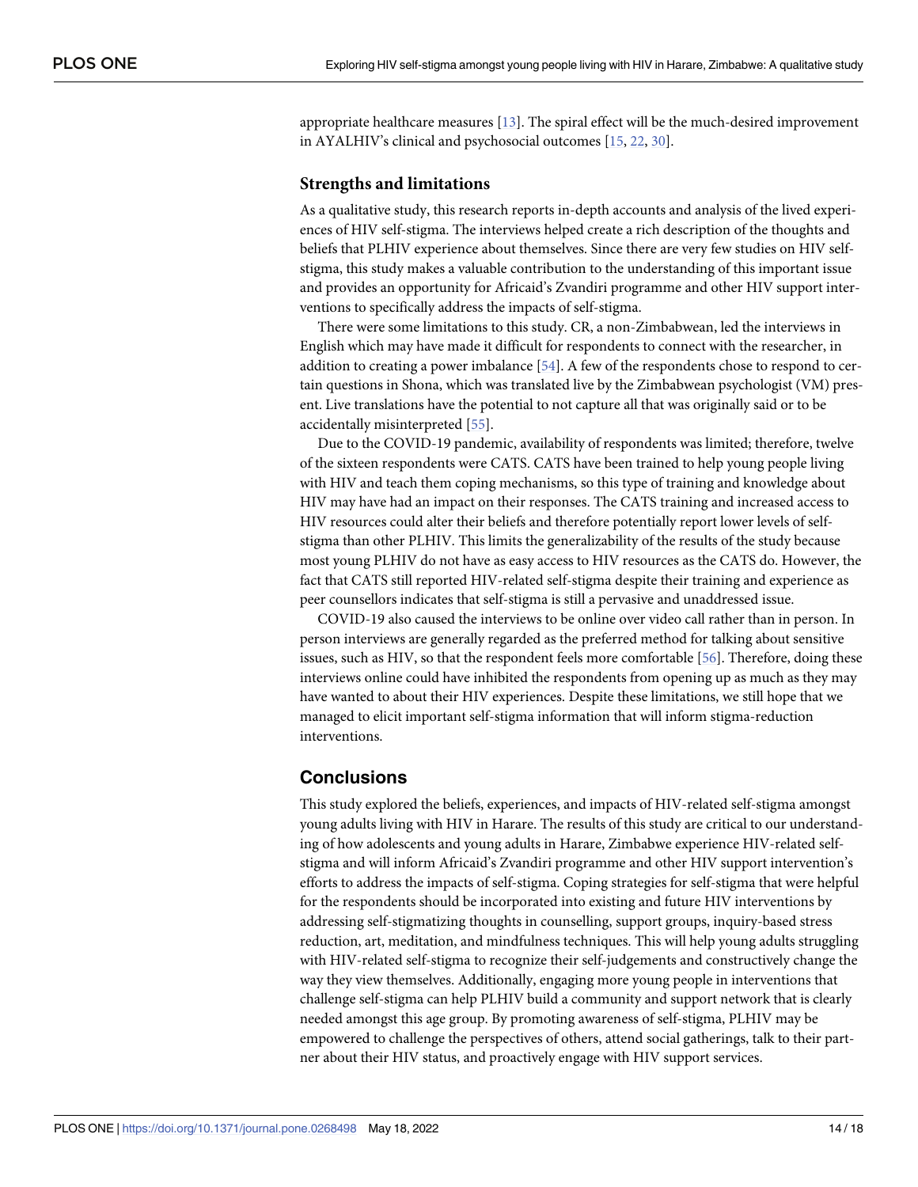<span id="page-13-0"></span>appropriate healthcare measures [[13](#page-15-0)]. The spiral effect will be the much-desired improvement in AYALHIV's clinical and psychosocial outcomes [[15](#page-15-0), [22](#page-15-0), [30\]](#page-16-0).

#### **Strengths and limitations**

As a qualitative study, this research reports in-depth accounts and analysis of the lived experiences of HIV self-stigma. The interviews helped create a rich description of the thoughts and beliefs that PLHIV experience about themselves. Since there are very few studies on HIV selfstigma, this study makes a valuable contribution to the understanding of this important issue and provides an opportunity for Africaid's Zvandiri programme and other HIV support interventions to specifically address the impacts of self-stigma.

There were some limitations to this study. CR, a non-Zimbabwean, led the interviews in English which may have made it difficult for respondents to connect with the researcher, in addition to creating a power imbalance [\[54\]](#page-17-0). A few of the respondents chose to respond to certain questions in Shona, which was translated live by the Zimbabwean psychologist (VM) present. Live translations have the potential to not capture all that was originally said or to be accidentally misinterpreted [\[55\]](#page-17-0).

Due to the COVID-19 pandemic, availability of respondents was limited; therefore, twelve of the sixteen respondents were CATS. CATS have been trained to help young people living with HIV and teach them coping mechanisms, so this type of training and knowledge about HIV may have had an impact on their responses. The CATS training and increased access to HIV resources could alter their beliefs and therefore potentially report lower levels of selfstigma than other PLHIV. This limits the generalizability of the results of the study because most young PLHIV do not have as easy access to HIV resources as the CATS do. However, the fact that CATS still reported HIV-related self-stigma despite their training and experience as peer counsellors indicates that self-stigma is still a pervasive and unaddressed issue.

COVID-19 also caused the interviews to be online over video call rather than in person. In person interviews are generally regarded as the preferred method for talking about sensitive issues, such as HIV, so that the respondent feels more comfortable [\[56\]](#page-17-0). Therefore, doing these interviews online could have inhibited the respondents from opening up as much as they may have wanted to about their HIV experiences. Despite these limitations, we still hope that we managed to elicit important self-stigma information that will inform stigma-reduction interventions.

# **Conclusions**

This study explored the beliefs, experiences, and impacts of HIV-related self-stigma amongst young adults living with HIV in Harare. The results of this study are critical to our understanding of how adolescents and young adults in Harare, Zimbabwe experience HIV-related selfstigma and will inform Africaid's Zvandiri programme and other HIV support intervention's efforts to address the impacts of self-stigma. Coping strategies for self-stigma that were helpful for the respondents should be incorporated into existing and future HIV interventions by addressing self-stigmatizing thoughts in counselling, support groups, inquiry-based stress reduction, art, meditation, and mindfulness techniques. This will help young adults struggling with HIV-related self-stigma to recognize their self-judgements and constructively change the way they view themselves. Additionally, engaging more young people in interventions that challenge self-stigma can help PLHIV build a community and support network that is clearly needed amongst this age group. By promoting awareness of self-stigma, PLHIV may be empowered to challenge the perspectives of others, attend social gatherings, talk to their partner about their HIV status, and proactively engage with HIV support services.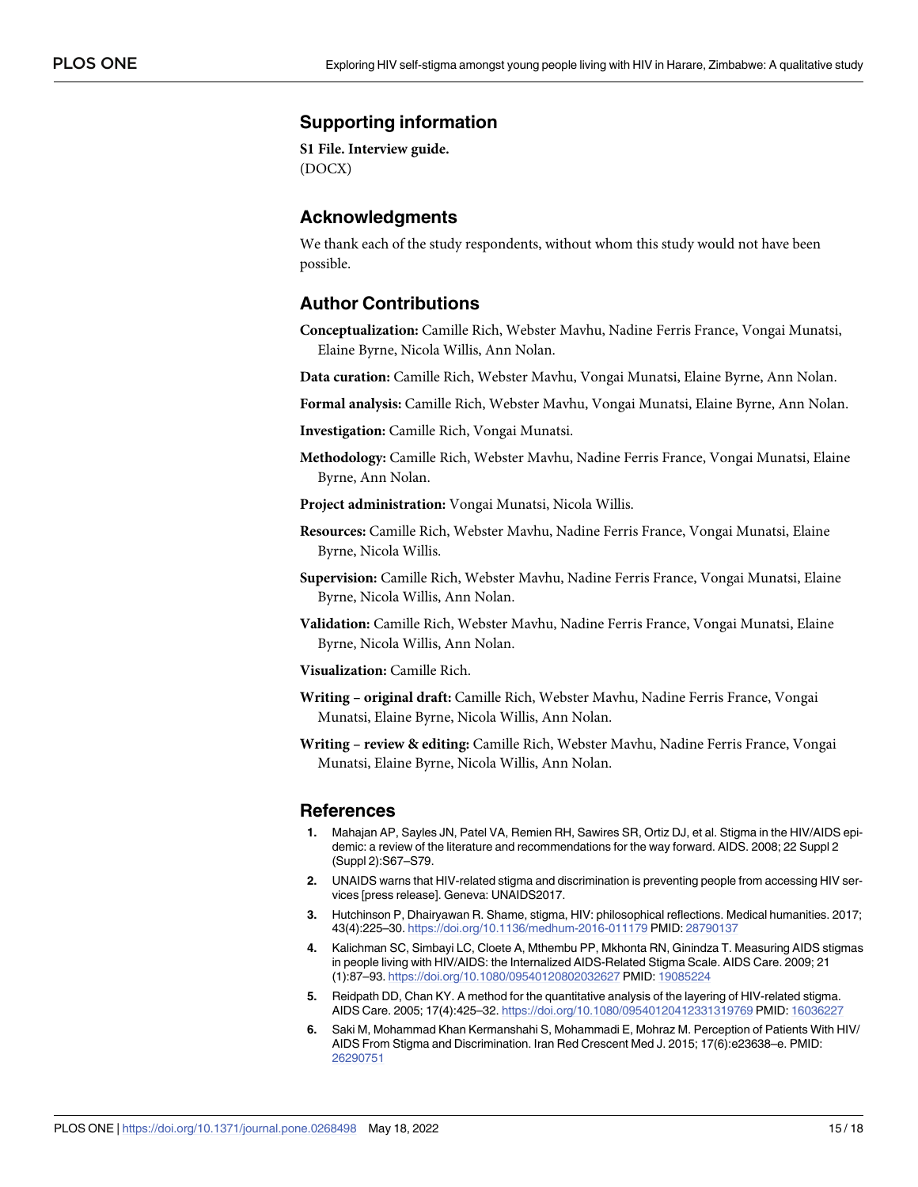# <span id="page-14-0"></span>**Supporting information**

**S1 [File.](http://www.plosone.org/article/fetchSingleRepresentation.action?uri=info:doi/10.1371/journal.pone.0268498.s001) Interview guide.** (DOCX)

#### **Acknowledgments**

We thank each of the study respondents, without whom this study would not have been possible.

## **Author Contributions**

**Conceptualization:** Camille Rich, Webster Mavhu, Nadine Ferris France, Vongai Munatsi, Elaine Byrne, Nicola Willis, Ann Nolan.

**Data curation:** Camille Rich, Webster Mavhu, Vongai Munatsi, Elaine Byrne, Ann Nolan.

**Formal analysis:** Camille Rich, Webster Mavhu, Vongai Munatsi, Elaine Byrne, Ann Nolan.

**Investigation:** Camille Rich, Vongai Munatsi.

- **Methodology:** Camille Rich, Webster Mavhu, Nadine Ferris France, Vongai Munatsi, Elaine Byrne, Ann Nolan.
- **Project administration:** Vongai Munatsi, Nicola Willis.
- **Resources:** Camille Rich, Webster Mavhu, Nadine Ferris France, Vongai Munatsi, Elaine Byrne, Nicola Willis.
- **Supervision:** Camille Rich, Webster Mavhu, Nadine Ferris France, Vongai Munatsi, Elaine Byrne, Nicola Willis, Ann Nolan.
- **Validation:** Camille Rich, Webster Mavhu, Nadine Ferris France, Vongai Munatsi, Elaine Byrne, Nicola Willis, Ann Nolan.
- **Visualization:** Camille Rich.
- **Writing – original draft:** Camille Rich, Webster Mavhu, Nadine Ferris France, Vongai Munatsi, Elaine Byrne, Nicola Willis, Ann Nolan.
- **Writing – review & editing:** Camille Rich, Webster Mavhu, Nadine Ferris France, Vongai Munatsi, Elaine Byrne, Nicola Willis, Ann Nolan.

#### **References**

- **[1](#page-1-0).** Mahajan AP, Sayles JN, Patel VA, Remien RH, Sawires SR, Ortiz DJ, et al. Stigma in the HIV/AIDS epidemic: a review of the literature and recommendations for the way forward. AIDS. 2008; 22 Suppl 2 (Suppl 2):S67–S79.
- **[2](#page-1-0).** UNAIDS warns that HIV-related stigma and discrimination is preventing people from accessing HIV services [press release]. Geneva: UNAIDS2017.
- **[3](#page-1-0).** Hutchinson P, Dhairyawan R. Shame, stigma, HIV: philosophical reflections. Medical humanities. 2017; 43(4):225–30. <https://doi.org/10.1136/medhum-2016-011179> PMID: [28790137](http://www.ncbi.nlm.nih.gov/pubmed/28790137)
- **4.** Kalichman SC, Simbayi LC, Cloete A, Mthembu PP, Mkhonta RN, Ginindza T. Measuring AIDS stigmas in people living with HIV/AIDS: the Internalized AIDS-Related Stigma Scale. AIDS Care. 2009; 21 (1):87–93. <https://doi.org/10.1080/09540120802032627> PMID: [19085224](http://www.ncbi.nlm.nih.gov/pubmed/19085224)
- **[5](#page-12-0).** Reidpath DD, Chan KY. A method for the quantitative analysis of the layering of HIV-related stigma. AIDS Care. 2005; 17(4):425–32. <https://doi.org/10.1080/09540120412331319769> PMID: [16036227](http://www.ncbi.nlm.nih.gov/pubmed/16036227)
- **[6](#page-1-0).** Saki M, Mohammad Khan Kermanshahi S, Mohammadi E, Mohraz M. Perception of Patients With HIV/ AIDS From Stigma and Discrimination. Iran Red Crescent Med J. 2015; 17(6):e23638–e. PMID: [26290751](http://www.ncbi.nlm.nih.gov/pubmed/26290751)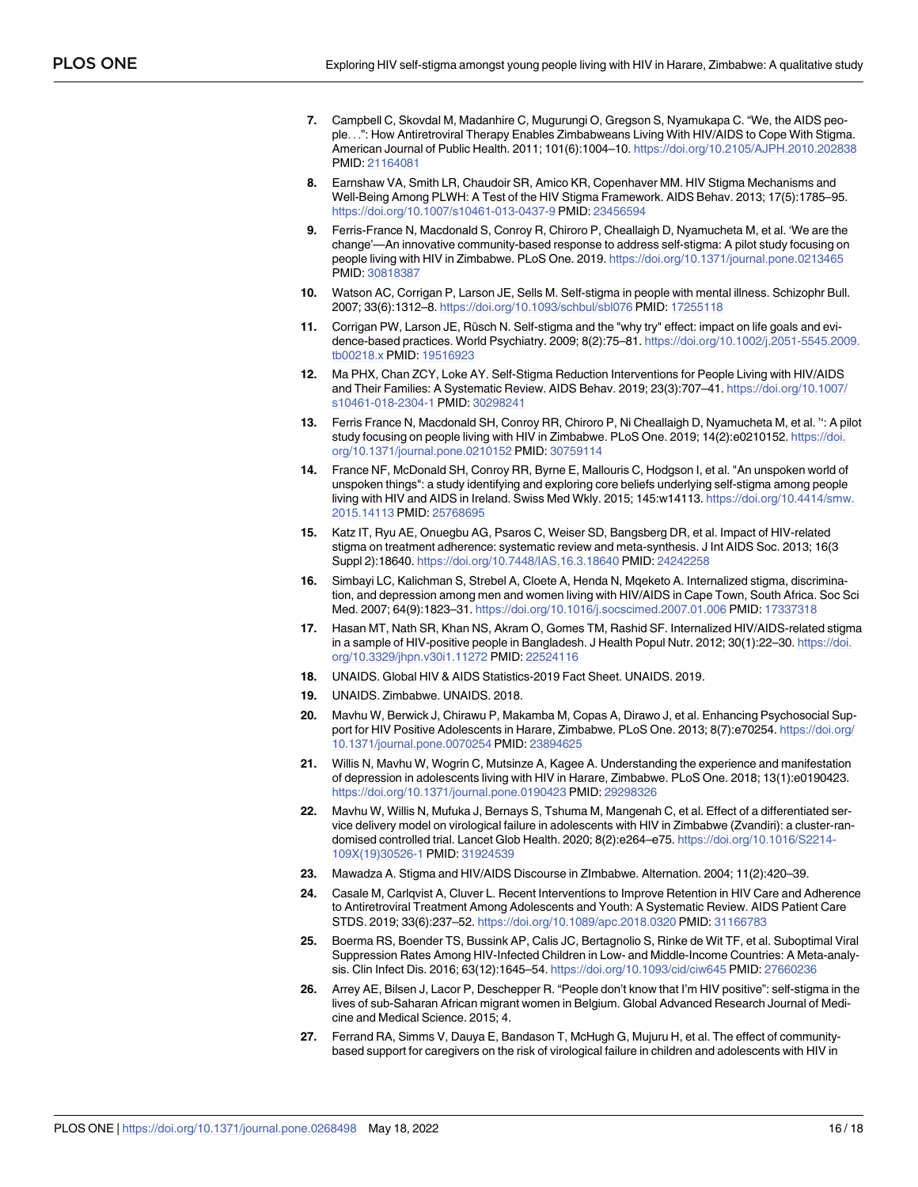- <span id="page-15-0"></span>**[7](#page-7-0).** Campbell C, Skovdal M, Madanhire C, Mugurungi O, Gregson S, Nyamukapa C. "We, the AIDS people. . .": How Antiretroviral Therapy Enables Zimbabweans Living With HIV/AIDS to Cope With Stigma. American Journal of Public Health. 2011; 101(6):1004–10. <https://doi.org/10.2105/AJPH.2010.202838> PMID: [21164081](http://www.ncbi.nlm.nih.gov/pubmed/21164081)
- **[8](#page-1-0).** Earnshaw VA, Smith LR, Chaudoir SR, Amico KR, Copenhaver MM. HIV Stigma Mechanisms and Well-Being Among PLWH: A Test of the HIV Stigma Framework. AIDS Behav. 2013; 17(5):1785–95. <https://doi.org/10.1007/s10461-013-0437-9> PMID: [23456594](http://www.ncbi.nlm.nih.gov/pubmed/23456594)
- **[9](#page-1-0).** Ferris-France N, Macdonald S, Conroy R, Chiroro P, Cheallaigh D, Nyamucheta M, et al. 'We are the change'—An innovative community-based response to address self-stigma: A pilot study focusing on people living with HIV in Zimbabwe. PLoS One. 2019. <https://doi.org/10.1371/journal.pone.0213465> PMID: [30818387](http://www.ncbi.nlm.nih.gov/pubmed/30818387)
- **[10](#page-1-0).** Watson AC, Corrigan P, Larson JE, Sells M. Self-stigma in people with mental illness. Schizophr Bull. 2007; 33(6):1312–8. <https://doi.org/10.1093/schbul/sbl076> PMID: [17255118](http://www.ncbi.nlm.nih.gov/pubmed/17255118)
- **[11](#page-3-0).** Corrigan PW, Larson JE, Rüsch N. Self-stigma and the "why try" effect: impact on life goals and evidence-based practices. World Psychiatry. 2009; 8(2):75–81. [https://doi.org/10.1002/j.2051-5545.2009.](https://doi.org/10.1002/j.2051-5545.2009.tb00218.x) [tb00218.x](https://doi.org/10.1002/j.2051-5545.2009.tb00218.x) PMID: [19516923](http://www.ncbi.nlm.nih.gov/pubmed/19516923)
- **[12](#page-1-0).** Ma PHX, Chan ZCY, Loke AY. Self-Stigma Reduction Interventions for People Living with HIV/AIDS and Their Families: A Systematic Review. AIDS Behav. 2019; 23(3):707–41. [https://doi.org/10.1007/](https://doi.org/10.1007/s10461-018-2304-1) [s10461-018-2304-1](https://doi.org/10.1007/s10461-018-2304-1) PMID: [30298241](http://www.ncbi.nlm.nih.gov/pubmed/30298241)
- **[13](#page-13-0).** Ferris France N, Macdonald SH, Conroy RR, Chiroro P, Ni Cheallaigh D, Nyamucheta M, et al. '': A pilot study focusing on people living with HIV in Zimbabwe. PLoS One. 2019; 14(2):e0210152. [https://doi.](https://doi.org/10.1371/journal.pone.0210152) [org/10.1371/journal.pone.0210152](https://doi.org/10.1371/journal.pone.0210152) PMID: [30759114](http://www.ncbi.nlm.nih.gov/pubmed/30759114)
- **[14](#page-1-0).** France NF, McDonald SH, Conroy RR, Byrne E, Mallouris C, Hodgson I, et al. "An unspoken world of unspoken things": a study identifying and exploring core beliefs underlying self-stigma among people living with HIV and AIDS in Ireland. Swiss Med Wkly. 2015; 145:w14113. [https://doi.org/10.4414/smw.](https://doi.org/10.4414/smw.2015.14113) [2015.14113](https://doi.org/10.4414/smw.2015.14113) PMID: [25768695](http://www.ncbi.nlm.nih.gov/pubmed/25768695)
- **[15](#page-13-0).** Katz IT, Ryu AE, Onuegbu AG, Psaros C, Weiser SD, Bangsberg DR, et al. Impact of HIV-related stigma on treatment adherence: systematic review and meta-synthesis. J Int AIDS Soc. 2013; 16(3 Suppl 2):18640. <https://doi.org/10.7448/IAS.16.3.18640> PMID: [24242258](http://www.ncbi.nlm.nih.gov/pubmed/24242258)
- **[16](#page-2-0).** Simbayi LC, Kalichman S, Strebel A, Cloete A, Henda N, Mqeketo A. Internalized stigma, discrimination, and depression among men and women living with HIV/AIDS in Cape Town, South Africa. Soc Sci Med. 2007; 64(9):1823–31. <https://doi.org/10.1016/j.socscimed.2007.01.006> PMID: [17337318](http://www.ncbi.nlm.nih.gov/pubmed/17337318)
- **[17](#page-2-0).** Hasan MT, Nath SR, Khan NS, Akram O, Gomes TM, Rashid SF. Internalized HIV/AIDS-related stigma in a sample of HIV-positive people in Bangladesh. J Health Popul Nutr. 2012; 30(1):22–30. [https://doi.](https://doi.org/10.3329/jhpn.v30i1.11272) [org/10.3329/jhpn.v30i1.11272](https://doi.org/10.3329/jhpn.v30i1.11272) PMID: [22524116](http://www.ncbi.nlm.nih.gov/pubmed/22524116)
- **[18](#page-2-0).** UNAIDS. Global HIV & AIDS Statistics-2019 Fact Sheet. UNAIDS. 2019.
- **[19](#page-2-0).** UNAIDS. Zimbabwe. UNAIDS. 2018.
- **[20](#page-11-0).** Mavhu W, Berwick J, Chirawu P, Makamba M, Copas A, Dirawo J, et al. Enhancing Psychosocial Support for HIV Positive Adolescents in Harare, Zimbabwe. PLoS One. 2013; 8(7):e70254. [https://doi.org/](https://doi.org/10.1371/journal.pone.0070254) [10.1371/journal.pone.0070254](https://doi.org/10.1371/journal.pone.0070254) PMID: [23894625](http://www.ncbi.nlm.nih.gov/pubmed/23894625)
- **[21](#page-12-0).** Willis N, Mavhu W, Wogrin C, Mutsinze A, Kagee A. Understanding the experience and manifestation of depression in adolescents living with HIV in Harare, Zimbabwe. PLoS One. 2018; 13(1):e0190423. <https://doi.org/10.1371/journal.pone.0190423> PMID: [29298326](http://www.ncbi.nlm.nih.gov/pubmed/29298326)
- **[22](#page-11-0).** Mavhu W, Willis N, Mufuka J, Bernays S, Tshuma M, Mangenah C, et al. Effect of a differentiated service delivery model on virological failure in adolescents with HIV in Zimbabwe (Zvandiri): a cluster-randomised controlled trial. Lancet Glob Health. 2020; 8(2):e264–e75. [https://doi.org/10.1016/S2214-](https://doi.org/10.1016/S2214-109X%2819%2930526-1) [109X\(19\)30526-1](https://doi.org/10.1016/S2214-109X%2819%2930526-1) PMID: [31924539](http://www.ncbi.nlm.nih.gov/pubmed/31924539)
- **[23](#page-2-0).** Mawadza A. Stigma and HIV/AIDS Discourse in ZImbabwe. Alternation. 2004; 11(2):420–39.
- **[24](#page-2-0).** Casale M, Carlqvist A, Cluver L. Recent Interventions to Improve Retention in HIV Care and Adherence to Antiretroviral Treatment Among Adolescents and Youth: A Systematic Review. AIDS Patient Care STDS. 2019; 33(6):237–52. <https://doi.org/10.1089/apc.2018.0320> PMID: [31166783](http://www.ncbi.nlm.nih.gov/pubmed/31166783)
- **[25](#page-2-0).** Boerma RS, Boender TS, Bussink AP, Calis JC, Bertagnolio S, Rinke de Wit TF, et al. Suboptimal Viral Suppression Rates Among HIV-Infected Children in Low- and Middle-Income Countries: A Meta-analysis. Clin Infect Dis. 2016; 63(12):1645–54. <https://doi.org/10.1093/cid/ciw645> PMID: [27660236](http://www.ncbi.nlm.nih.gov/pubmed/27660236)
- **[26](#page-2-0).** Arrey AE, Bilsen J, Lacor P, Deschepper R. "People don't know that I'm HIV positive": self-stigma in the lives of sub-Saharan African migrant women in Belgium. Global Advanced Research Journal of Medicine and Medical Science. 2015; 4.
- **[27](#page-11-0).** Ferrand RA, Simms V, Dauya E, Bandason T, McHugh G, Mujuru H, et al. The effect of communitybased support for caregivers on the risk of virological failure in children and adolescents with HIV in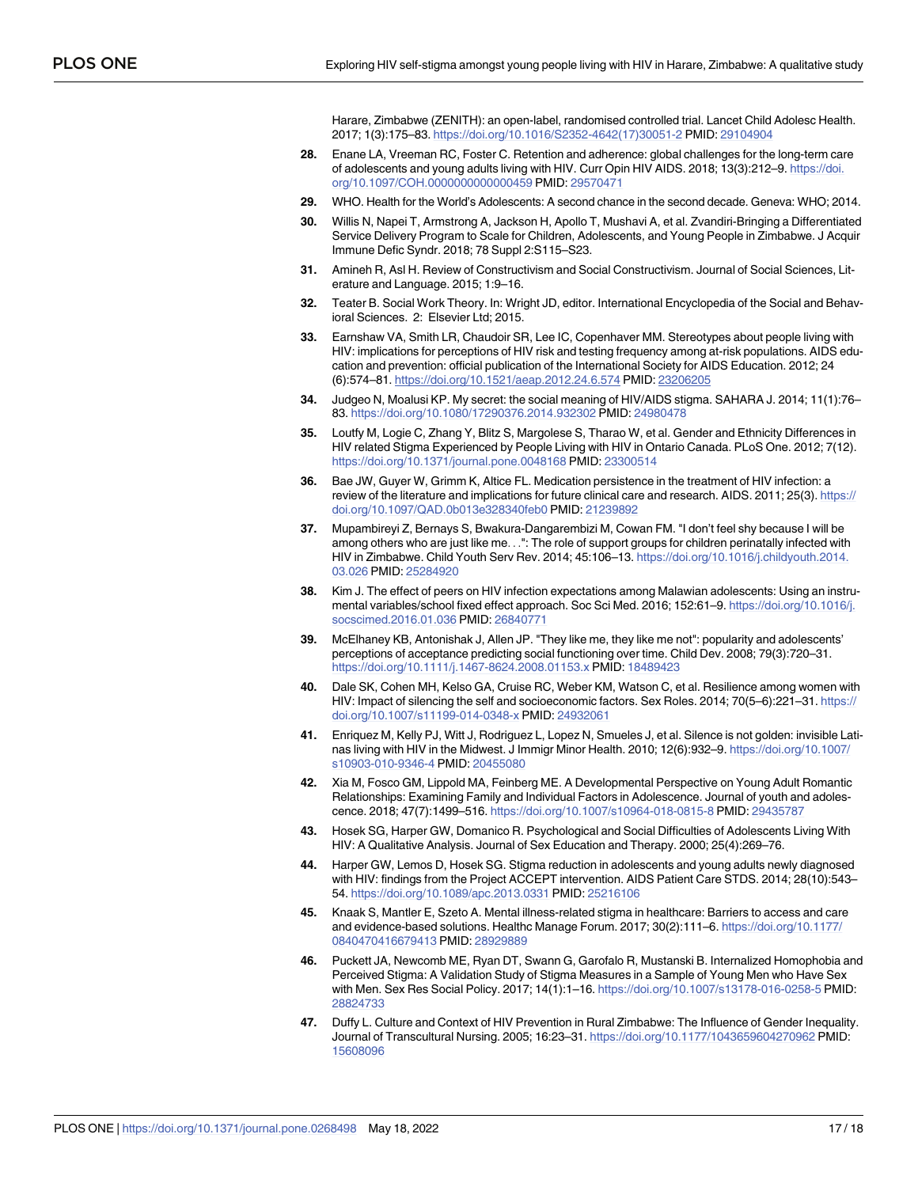Harare, Zimbabwe (ZENITH): an open-label, randomised controlled trial. Lancet Child Adolesc Health. 2017; 1(3):175–83. [https://doi.org/10.1016/S2352-4642\(17\)30051-2](https://doi.org/10.1016/S2352-4642%2817%2930051-2) PMID: [29104904](http://www.ncbi.nlm.nih.gov/pubmed/29104904)

- <span id="page-16-0"></span>**[28](#page-2-0).** Enane LA, Vreeman RC, Foster C. Retention and adherence: global challenges for the long-term care of adolescents and young adults living with HIV. Curr Opin HIV AIDS. 2018; 13(3):212–9. [https://doi.](https://doi.org/10.1097/COH.0000000000000459) [org/10.1097/COH.0000000000000459](https://doi.org/10.1097/COH.0000000000000459) PMID: [29570471](http://www.ncbi.nlm.nih.gov/pubmed/29570471)
- **[29](#page-2-0).** WHO. Health for the World's Adolescents: A second chance in the second decade. Geneva: WHO; 2014.
- **[30](#page-2-0).** Willis N, Napei T, Armstrong A, Jackson H, Apollo T, Mushavi A, et al. Zvandiri-Bringing a Differentiated Service Delivery Program to Scale for Children, Adolescents, and Young People in Zimbabwe. J Acquir Immune Defic Syndr. 2018; 78 Suppl 2:S115–S23.
- **[31](#page-3-0).** Amineh R, Asl H. Review of Constructivism and Social Constructivism. Journal of Social Sciences, Literature and Language. 2015; 1:9–16.
- **[32](#page-3-0).** Teater B. Social Work Theory. In: Wright JD, editor. International Encyclopedia of the Social and Behavioral Sciences. 2: Elsevier Ltd; 2015.
- **[33](#page-5-0).** Earnshaw VA, Smith LR, Chaudoir SR, Lee IC, Copenhaver MM. Stereotypes about people living with HIV: implications for perceptions of HIV risk and testing frequency among at-risk populations. AIDS education and prevention: official publication of the International Society for AIDS Education. 2012; 24 (6):574–81. <https://doi.org/10.1521/aeap.2012.24.6.574> PMID: [23206205](http://www.ncbi.nlm.nih.gov/pubmed/23206205)
- **[34](#page-7-0).** Judgeo N, Moalusi KP. My secret: the social meaning of HIV/AIDS stigma. SAHARA J. 2014; 11(1):76– 83. <https://doi.org/10.1080/17290376.2014.932302> PMID: [24980478](http://www.ncbi.nlm.nih.gov/pubmed/24980478)
- **[35](#page-9-0).** Loutfy M, Logie C, Zhang Y, Blitz S, Margolese S, Tharao W, et al. Gender and Ethnicity Differences in HIV related Stigma Experienced by People Living with HIV in Ontario Canada. PLoS One. 2012; 7(12). <https://doi.org/10.1371/journal.pone.0048168> PMID: [23300514](http://www.ncbi.nlm.nih.gov/pubmed/23300514)
- **[36](#page-10-0).** Bae JW, Guyer W, Grimm K, Altice FL. Medication persistence in the treatment of HIV infection: a review of the literature and implications for future clinical care and research. AIDS. 2011; 25(3). [https://](https://doi.org/10.1097/QAD.0b013e328340feb0) [doi.org/10.1097/QAD.0b013e328340feb0](https://doi.org/10.1097/QAD.0b013e328340feb0) PMID: [21239892](http://www.ncbi.nlm.nih.gov/pubmed/21239892)
- **[37](#page-11-0).** Mupambireyi Z, Bernays S, Bwakura-Dangarembizi M, Cowan FM. "I don't feel shy because I will be among others who are just like me. . .": The role of support groups for children perinatally infected with HIV in Zimbabwe. Child Youth Serv Rev. 2014; 45:106–13. [https://doi.org/10.1016/j.childyouth.2014.](https://doi.org/10.1016/j.childyouth.2014.03.026) [03.026](https://doi.org/10.1016/j.childyouth.2014.03.026) PMID: [25284920](http://www.ncbi.nlm.nih.gov/pubmed/25284920)
- **[38](#page-11-0).** Kim J. The effect of peers on HIV infection expectations among Malawian adolescents: Using an instrumental variables/school fixed effect approach. Soc Sci Med. 2016; 152:61–9. [https://doi.org/10.1016/j.](https://doi.org/10.1016/j.socscimed.2016.01.036) [socscimed.2016.01.036](https://doi.org/10.1016/j.socscimed.2016.01.036) PMID: [26840771](http://www.ncbi.nlm.nih.gov/pubmed/26840771)
- **[39](#page-11-0).** McElhaney KB, Antonishak J, Allen JP. "They like me, they like me not": popularity and adolescents' perceptions of acceptance predicting social functioning over time. Child Dev. 2008; 79(3):720–31. <https://doi.org/10.1111/j.1467-8624.2008.01153.x> PMID: [18489423](http://www.ncbi.nlm.nih.gov/pubmed/18489423)
- **[40](#page-11-0).** Dale SK, Cohen MH, Kelso GA, Cruise RC, Weber KM, Watson C, et al. Resilience among women with HIV: Impact of silencing the self and socioeconomic factors. Sex Roles. 2014; 70(5–6):221–31. [https://](https://doi.org/10.1007/s11199-014-0348-x) [doi.org/10.1007/s11199-014-0348-x](https://doi.org/10.1007/s11199-014-0348-x) PMID: [24932061](http://www.ncbi.nlm.nih.gov/pubmed/24932061)
- **[41](#page-11-0).** Enriquez M, Kelly PJ, Witt J, Rodriguez L, Lopez N, Smueles J, et al. Silence is not golden: invisible Latinas living with HIV in the Midwest. J Immigr Minor Health. 2010; 12(6):932–9. [https://doi.org/10.1007/](https://doi.org/10.1007/s10903-010-9346-4) [s10903-010-9346-4](https://doi.org/10.1007/s10903-010-9346-4) PMID: [20455080](http://www.ncbi.nlm.nih.gov/pubmed/20455080)
- **[42](#page-11-0).** Xia M, Fosco GM, Lippold MA, Feinberg ME. A Developmental Perspective on Young Adult Romantic Relationships: Examining Family and Individual Factors in Adolescence. Journal of youth and adolescence. 2018; 47(7):1499–516. <https://doi.org/10.1007/s10964-018-0815-8> PMID: [29435787](http://www.ncbi.nlm.nih.gov/pubmed/29435787)
- **[43](#page-11-0).** Hosek SG, Harper GW, Domanico R. Psychological and Social Difficulties of Adolescents Living With HIV: A Qualitative Analysis. Journal of Sex Education and Therapy. 2000; 25(4):269–76.
- **[44](#page-11-0).** Harper GW, Lemos D, Hosek SG. Stigma reduction in adolescents and young adults newly diagnosed with HIV: findings from the Project ACCEPT intervention. AIDS Patient Care STDS. 2014; 28(10):543– 54. <https://doi.org/10.1089/apc.2013.0331> PMID: [25216106](http://www.ncbi.nlm.nih.gov/pubmed/25216106)
- **[45](#page-12-0).** Knaak S, Mantler E, Szeto A. Mental illness-related stigma in healthcare: Barriers to access and care and evidence-based solutions. Healthc Manage Forum. 2017; 30(2):111–6. [https://doi.org/10.1177/](https://doi.org/10.1177/0840470416679413) [0840470416679413](https://doi.org/10.1177/0840470416679413) PMID: [28929889](http://www.ncbi.nlm.nih.gov/pubmed/28929889)
- **[46](#page-12-0).** Puckett JA, Newcomb ME, Ryan DT, Swann G, Garofalo R, Mustanski B. Internalized Homophobia and Perceived Stigma: A Validation Study of Stigma Measures in a Sample of Young Men who Have Sex with Men. Sex Res Social Policy. 2017; 14(1):1–16. <https://doi.org/10.1007/s13178-016-0258-5> PMID: [28824733](http://www.ncbi.nlm.nih.gov/pubmed/28824733)
- **[47](#page-12-0).** Duffy L. Culture and Context of HIV Prevention in Rural Zimbabwe: The Influence of Gender Inequality. Journal of Transcultural Nursing. 2005; 16:23–31. <https://doi.org/10.1177/1043659604270962> PMID: [15608096](http://www.ncbi.nlm.nih.gov/pubmed/15608096)